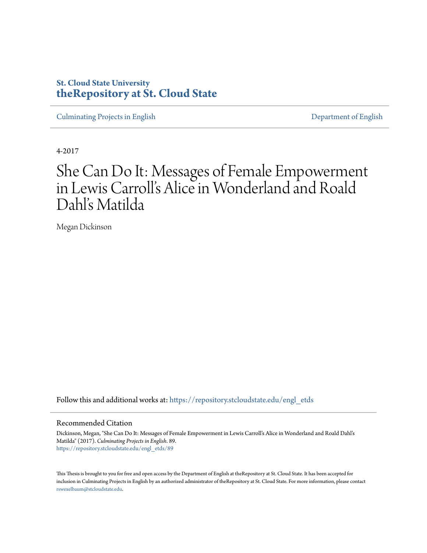# **St. Cloud State University [theRepository at St. Cloud State](https://repository.stcloudstate.edu?utm_source=repository.stcloudstate.edu%2Fengl_etds%2F89&utm_medium=PDF&utm_campaign=PDFCoverPages)**

[Culminating Projects in English](https://repository.stcloudstate.edu/engl_etds?utm_source=repository.stcloudstate.edu%2Fengl_etds%2F89&utm_medium=PDF&utm_campaign=PDFCoverPages) [Department of English](https://repository.stcloudstate.edu/engl?utm_source=repository.stcloudstate.edu%2Fengl_etds%2F89&utm_medium=PDF&utm_campaign=PDFCoverPages)

4-2017

# She Can Do It: Messages of Female Empowerment in Lewis Carroll's Alice in Wonderland and Roald Dahl's Matilda

Megan Dickinson

Follow this and additional works at: [https://repository.stcloudstate.edu/engl\\_etds](https://repository.stcloudstate.edu/engl_etds?utm_source=repository.stcloudstate.edu%2Fengl_etds%2F89&utm_medium=PDF&utm_campaign=PDFCoverPages)

#### Recommended Citation

Dickinson, Megan, "She Can Do It: Messages of Female Empowerment in Lewis Carroll's Alice in Wonderland and Roald Dahl's Matilda" (2017). *Culminating Projects in English*. 89. [https://repository.stcloudstate.edu/engl\\_etds/89](https://repository.stcloudstate.edu/engl_etds/89?utm_source=repository.stcloudstate.edu%2Fengl_etds%2F89&utm_medium=PDF&utm_campaign=PDFCoverPages)

This Thesis is brought to you for free and open access by the Department of English at theRepository at St. Cloud State. It has been accepted for inclusion in Culminating Projects in English by an authorized administrator of theRepository at St. Cloud State. For more information, please contact [rswexelbaum@stcloudstate.edu](mailto:rswexelbaum@stcloudstate.edu).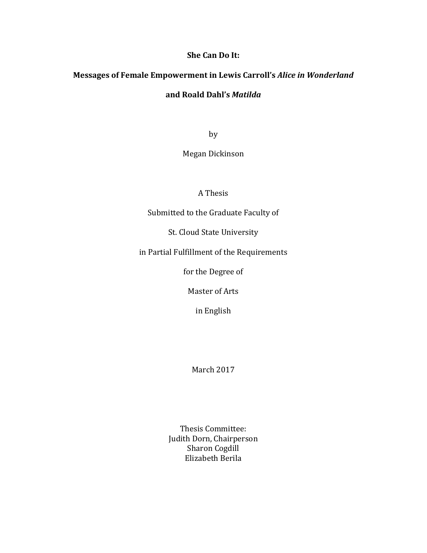### **She Can Do It:**

### **Messages of Female Empowerment in Lewis Carroll's** *Alice in Wonderland*

### **and Roald Dahl's** *Matilda*

by

Megan Dickinson

A Thesis

Submitted to the Graduate Faculty of

St. Cloud State University

in Partial Fulfillment of the Requirements

for the Degree of

Master of Arts

in English

March 2017

Thesis Committee: Judith Dorn, Chairperson Sharon Cogdill Elizabeth Berila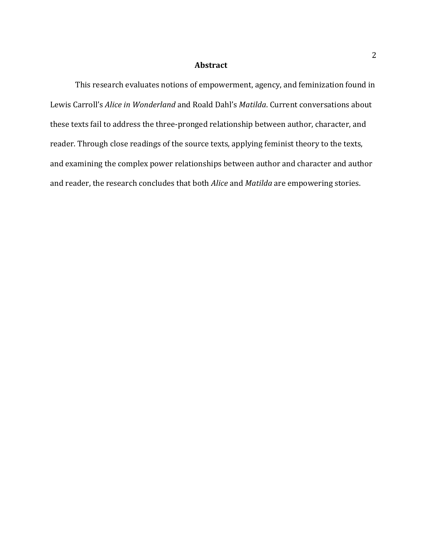### **Abstract**

This research evaluates notions of empowerment, agency, and feminization found in Lewis Carroll's *Alice in Wonderland* and Roald Dahl's *Matilda*. Current conversations about these texts fail to address the three-pronged relationship between author, character, and reader. Through close readings of the source texts, applying feminist theory to the texts, and examining the complex power relationships between author and character and author and reader, the research concludes that both *Alice* and *Matilda* are empowering stories.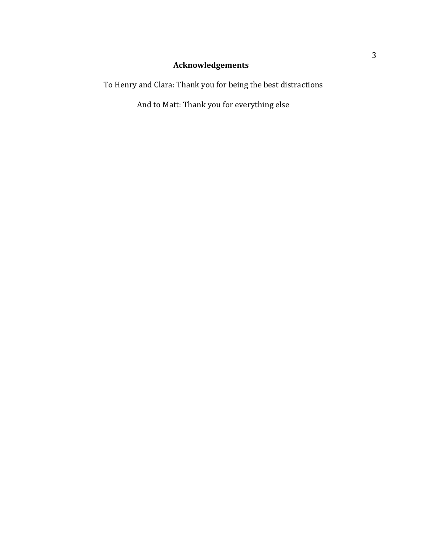# **Acknowledgements**

To Henry and Clara: Thank you for being the best distractions

And to Matt: Thank you for everything else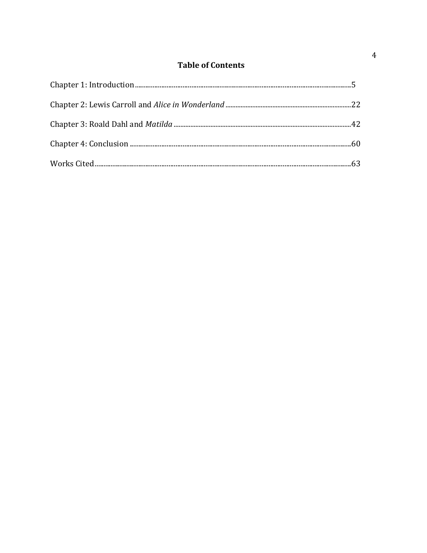# **Table of Contents**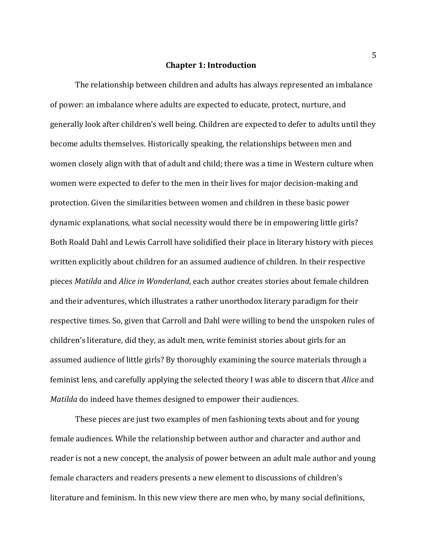### **Chapter 1: Introduction**

The relationship between children and adults has always represented an imbalance of power: an imbalance where adults are expected to educate, protect, nurture, and generally look after children's well being. Children are expected to defer to adults until they become adults themselves. Historically speaking, the relationships between men and women closely align with that of adult and child; there was a time in Western culture when women were expected to defer to the men in their lives for major decision-making and protection. Given the similarities between women and children in these basic power dynamic explanations, what social necessity would there be in empowering little girls? Both Roald Dahl and Lewis Carroll have solidified their place in literary history with pieces written explicitly about children for an assumed audience of children. In their respective pieces *Matilda* and *Alice in Wonderland*, each author creates stories about female children and their adventures, which illustrates a rather unorthodox literary paradigm for their respective times. So, given that Carroll and Dahl were willing to bend the unspoken rules of children's literature, did they, as adult men, write feminist stories about girls for an assumed audience of little girls? By thoroughly examining the source materials through a feminist lens, and carefully applying the selected theory I was able to discern that *Alice* and *Matilda* do indeed have themes designed to empower their audiences.

These pieces are just two examples of men fashioning texts about and for young female audiences. While the relationship between author and character and author and reader is not a new concept, the analysis of power between an adult male author and young female characters and readers presents a new element to discussions of children's literature and feminism. In this new view there are men who, by many social definitions,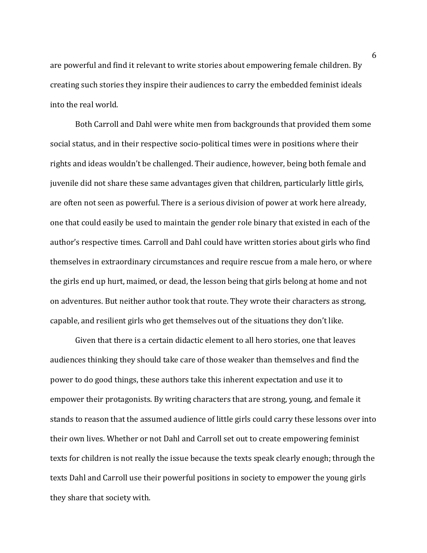are powerful and find it relevant to write stories about empowering female children. By creating such stories they inspire their audiences to carry the embedded feminist ideals into the real world.

Both Carroll and Dahl were white men from backgrounds that provided them some social status, and in their respective socio-political times were in positions where their rights and ideas wouldn't be challenged. Their audience, however, being both female and juvenile did not share these same advantages given that children, particularly little girls, are often not seen as powerful. There is a serious division of power at work here already, one that could easily be used to maintain the gender role binary that existed in each of the author's respective times. Carroll and Dahl could have written stories about girls who find themselves in extraordinary circumstances and require rescue from a male hero, or where the girls end up hurt, maimed, or dead, the lesson being that girls belong at home and not on adventures. But neither author took that route. They wrote their characters as strong, capable, and resilient girls who get themselves out of the situations they don't like.

Given that there is a certain didactic element to all hero stories, one that leaves audiences thinking they should take care of those weaker than themselves and find the power to do good things, these authors take this inherent expectation and use it to empower their protagonists. By writing characters that are strong, young, and female it stands to reason that the assumed audience of little girls could carry these lessons over into their own lives. Whether or not Dahl and Carroll set out to create empowering feminist texts for children is not really the issue because the texts speak clearly enough; through the texts Dahl and Carroll use their powerful positions in society to empower the young girls they share that society with.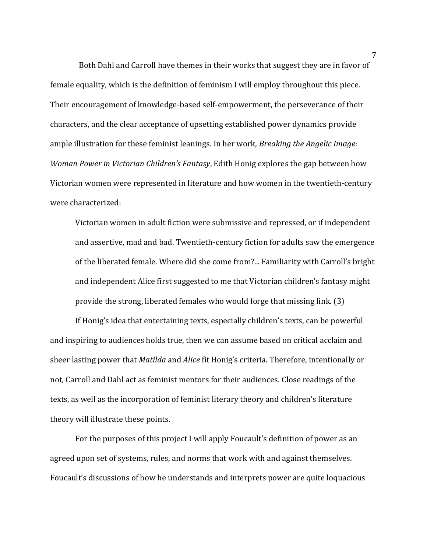Both Dahl and Carroll have themes in their works that suggest they are in favor of female equality, which is the definition of feminism I will employ throughout this piece. Their encouragement of knowledge-based self-empowerment, the perseverance of their characters, and the clear acceptance of upsetting established power dynamics provide ample illustration for these feminist leanings. In her work, *Breaking the Angelic Image: Woman Power in Victorian Children's Fantasy*, Edith Honig explores the gap between how Victorian women were represented in literature and how women in the twentieth-century were characterized:

Victorian women in adult fiction were submissive and repressed, or if independent and assertive, mad and bad. Twentieth-century fiction for adults saw the emergence of the liberated female. Where did she come from?... Familiarity with Carroll's bright and independent Alice first suggested to me that Victorian children's fantasy might provide the strong, liberated females who would forge that missing link. (3)

If Honig's idea that entertaining texts, especially children's texts, can be powerful and inspiring to audiences holds true, then we can assume based on critical acclaim and sheer lasting power that *Matilda* and *Alice* fit Honig's criteria. Therefore, intentionally or not, Carroll and Dahl act as feminist mentors for their audiences. Close readings of the texts, as well as the incorporation of feminist literary theory and children's literature theory will illustrate these points.

For the purposes of this project I will apply Foucault's definition of power as an agreed upon set of systems, rules, and norms that work with and against themselves. Foucault's discussions of how he understands and interprets power are quite loquacious

7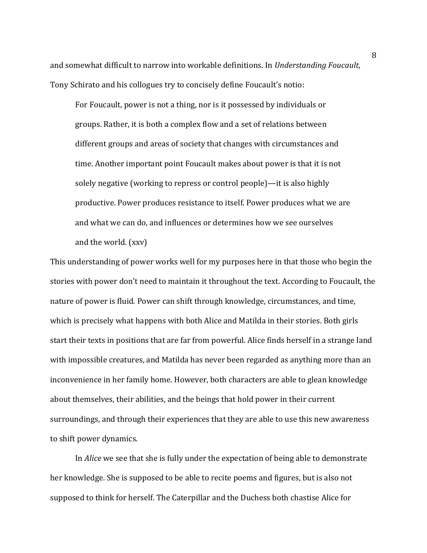and somewhat difficult to narrow into workable definitions. In *Understanding Foucault*, Tony Schirato and his collogues try to concisely define Foucault's notio:

For Foucault, power is not a thing, nor is it possessed by individuals or groups. Rather, it is both a complex flow and a set of relations between different groups and areas of society that changes with circumstances and time. Another important point Foucault makes about power is that it is not solely negative (working to repress or control people)—it is also highly productive. Power produces resistance to itself. Power produces what we are and what we can do, and influences or determines how we see ourselves and the world. (xxv)

This understanding of power works well for my purposes here in that those who begin the stories with power don't need to maintain it throughout the text. According to Foucault, the nature of power is fluid. Power can shift through knowledge, circumstances, and time, which is precisely what happens with both Alice and Matilda in their stories. Both girls start their texts in positions that are far from powerful. Alice finds herself in a strange land with impossible creatures, and Matilda has never been regarded as anything more than an inconvenience in her family home. However, both characters are able to glean knowledge about themselves, their abilities, and the beings that hold power in their current surroundings, and through their experiences that they are able to use this new awareness to shift power dynamics.

In *Alice* we see that she is fully under the expectation of being able to demonstrate her knowledge. She is supposed to be able to recite poems and figures, but is also not supposed to think for herself. The Caterpillar and the Duchess both chastise Alice for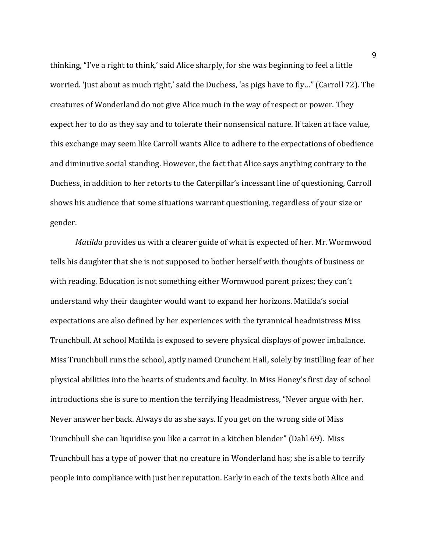thinking, "I've a right to think,' said Alice sharply, for she was beginning to feel a little worried. 'Just about as much right,' said the Duchess, 'as pigs have to fly…" (Carroll 72). The creatures of Wonderland do not give Alice much in the way of respect or power. They expect her to do as they say and to tolerate their nonsensical nature. If taken at face value, this exchange may seem like Carroll wants Alice to adhere to the expectations of obedience and diminutive social standing. However, the fact that Alice says anything contrary to the Duchess, in addition to her retorts to the Caterpillar's incessant line of questioning, Carroll shows his audience that some situations warrant questioning, regardless of your size or gender.

*Matilda* provides us with a clearer guide of what is expected of her. Mr. Wormwood tells his daughter that she is not supposed to bother herself with thoughts of business or with reading. Education is not something either Wormwood parent prizes; they can't understand why their daughter would want to expand her horizons. Matilda's social expectations are also defined by her experiences with the tyrannical headmistress Miss Trunchbull. At school Matilda is exposed to severe physical displays of power imbalance. Miss Trunchbull runs the school, aptly named Crunchem Hall, solely by instilling fear of her physical abilities into the hearts of students and faculty. In Miss Honey's first day of school introductions she is sure to mention the terrifying Headmistress, "Never argue with her. Never answer her back. Always do as she says. If you get on the wrong side of Miss Trunchbull she can liquidise you like a carrot in a kitchen blender" (Dahl 69). Miss Trunchbull has a type of power that no creature in Wonderland has; she is able to terrify people into compliance with just her reputation. Early in each of the texts both Alice and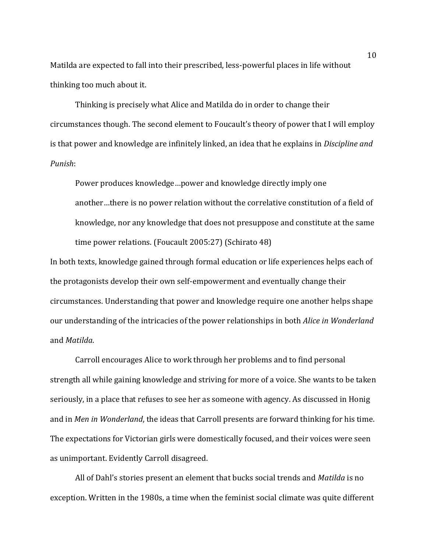Matilda are expected to fall into their prescribed, less-powerful places in life without thinking too much about it.

Thinking is precisely what Alice and Matilda do in order to change their circumstances though. The second element to Foucault's theory of power that I will employ is that power and knowledge are infinitely linked, an idea that he explains in *Discipline and Punish*:

Power produces knowledge…power and knowledge directly imply one another…there is no power relation without the correlative constitution of a field of knowledge, nor any knowledge that does not presuppose and constitute at the same time power relations. (Foucault 2005:27) (Schirato 48)

In both texts, knowledge gained through formal education or life experiences helps each of the protagonists develop their own self-empowerment and eventually change their circumstances. Understanding that power and knowledge require one another helps shape our understanding of the intricacies of the power relationships in both *Alice in Wonderland*  and *Matilda*.

Carroll encourages Alice to work through her problems and to find personal strength all while gaining knowledge and striving for more of a voice. She wants to be taken seriously, in a place that refuses to see her as someone with agency. As discussed in Honig and in *Men in Wonderland*, the ideas that Carroll presents are forward thinking for his time. The expectations for Victorian girls were domestically focused, and their voices were seen as unimportant. Evidently Carroll disagreed.

All of Dahl's stories present an element that bucks social trends and *Matilda* is no exception. Written in the 1980s, a time when the feminist social climate was quite different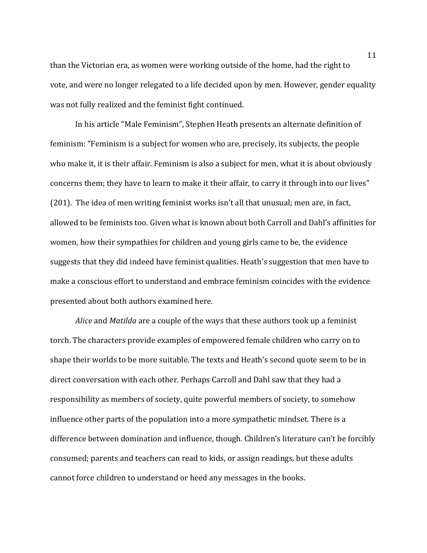than the Victorian era, as women were working outside of the home, had the right to vote, and were no longer relegated to a life decided upon by men. However, gender equality was not fully realized and the feminist fight continued.

In his article "Male Feminism", Stephen Heath presents an alternate definition of feminism: "Feminism is a subject for women who are, precisely, its subjects, the people who make it, it is their affair. Feminism is also a subject for men, what it is about obviously concerns them; they have to learn to make it their affair, to carry it through into our lives" (201). The idea of men writing feminist works isn't all that unusual; men are, in fact, allowed to be feminists too. Given what is known about both Carroll and Dahl's affinities for women, how their sympathies for children and young girls came to be, the evidence suggests that they did indeed have feminist qualities. Heath's suggestion that men have to make a conscious effort to understand and embrace feminism coincides with the evidence presented about both authors examined here.

*Alice* and *Matilda* are a couple of the ways that these authors took up a feminist torch. The characters provide examples of empowered female children who carry on to shape their worlds to be more suitable. The texts and Heath's second quote seem to be in direct conversation with each other. Perhaps Carroll and Dahl saw that they had a responsibility as members of society, quite powerful members of society, to somehow influence other parts of the population into a more sympathetic mindset. There is a difference between domination and influence, though. Children's literature can't be forcibly consumed; parents and teachers can read to kids, or assign readings, but these adults cannot force children to understand or heed any messages in the books.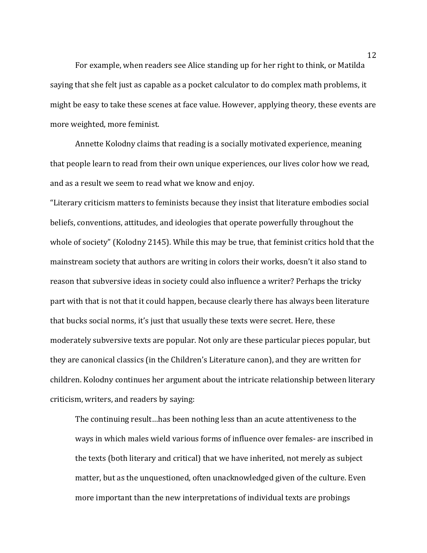For example, when readers see Alice standing up for her right to think, or Matilda saying that she felt just as capable as a pocket calculator to do complex math problems, it might be easy to take these scenes at face value. However, applying theory, these events are more weighted, more feminist.

Annette Kolodny claims that reading is a socially motivated experience, meaning that people learn to read from their own unique experiences, our lives color how we read, and as a result we seem to read what we know and enjoy.

"Literary criticism matters to feminists because they insist that literature embodies social beliefs, conventions, attitudes, and ideologies that operate powerfully throughout the whole of society" (Kolodny 2145). While this may be true, that feminist critics hold that the mainstream society that authors are writing in colors their works, doesn't it also stand to reason that subversive ideas in society could also influence a writer? Perhaps the tricky part with that is not that it could happen, because clearly there has always been literature that bucks social norms, it's just that usually these texts were secret. Here, these moderately subversive texts are popular. Not only are these particular pieces popular, but they are canonical classics (in the Children's Literature canon), and they are written for children. Kolodny continues her argument about the intricate relationship between literary criticism, writers, and readers by saying:

The continuing result…has been nothing less than an acute attentiveness to the ways in which males wield various forms of influence over females- are inscribed in the texts (both literary and critical) that we have inherited, not merely as subject matter, but as the unquestioned, often unacknowledged given of the culture. Even more important than the new interpretations of individual texts are probings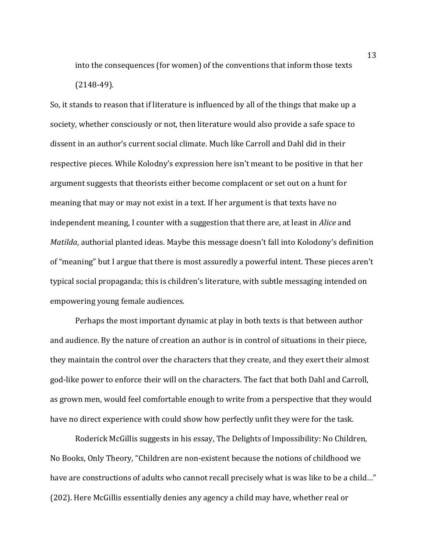into the consequences (for women) of the conventions that inform those texts (2148-49).

So, it stands to reason that if literature is influenced by all of the things that make up a society, whether consciously or not, then literature would also provide a safe space to dissent in an author's current social climate. Much like Carroll and Dahl did in their respective pieces. While Kolodny's expression here isn't meant to be positive in that her argument suggests that theorists either become complacent or set out on a hunt for meaning that may or may not exist in a text. If her argument is that texts have no independent meaning, I counter with a suggestion that there are, at least in *Alice* and *Matilda*, authorial planted ideas. Maybe this message doesn't fall into Kolodony's definition of "meaning" but I argue that there is most assuredly a powerful intent. These pieces aren't typical social propaganda; this is children's literature, with subtle messaging intended on empowering young female audiences.

Perhaps the most important dynamic at play in both texts is that between author and audience. By the nature of creation an author is in control of situations in their piece, they maintain the control over the characters that they create, and they exert their almost god-like power to enforce their will on the characters. The fact that both Dahl and Carroll, as grown men, would feel comfortable enough to write from a perspective that they would have no direct experience with could show how perfectly unfit they were for the task.

Roderick McGillis suggests in his essay, The Delights of Impossibility: No Children, No Books, Only Theory*,* "Children are non-existent because the notions of childhood we have are constructions of adults who cannot recall precisely what is was like to be a child…" (202). Here McGillis essentially denies any agency a child may have, whether real or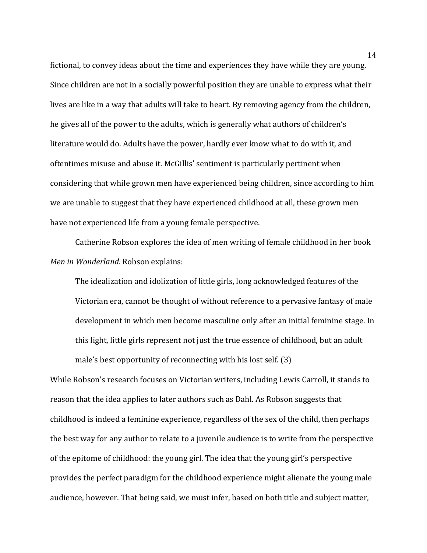fictional, to convey ideas about the time and experiences they have while they are young. Since children are not in a socially powerful position they are unable to express what their lives are like in a way that adults will take to heart. By removing agency from the children, he gives all of the power to the adults, which is generally what authors of children's literature would do. Adults have the power, hardly ever know what to do with it, and oftentimes misuse and abuse it. McGillis' sentiment is particularly pertinent when considering that while grown men have experienced being children, since according to him we are unable to suggest that they have experienced childhood at all, these grown men have not experienced life from a young female perspective.

Catherine Robson explores the idea of men writing of female childhood in her book *Men in Wonderland*. Robson explains:

The idealization and idolization of little girls, long acknowledged features of the Victorian era, cannot be thought of without reference to a pervasive fantasy of male development in which men become masculine only after an initial feminine stage. In this light, little girls represent not just the true essence of childhood, but an adult male's best opportunity of reconnecting with his lost self. (3)

While Robson's research focuses on Victorian writers, including Lewis Carroll, it stands to reason that the idea applies to later authors such as Dahl. As Robson suggests that childhood is indeed a feminine experience, regardless of the sex of the child, then perhaps the best way for any author to relate to a juvenile audience is to write from the perspective of the epitome of childhood: the young girl. The idea that the young girl's perspective provides the perfect paradigm for the childhood experience might alienate the young male audience, however. That being said, we must infer, based on both title and subject matter,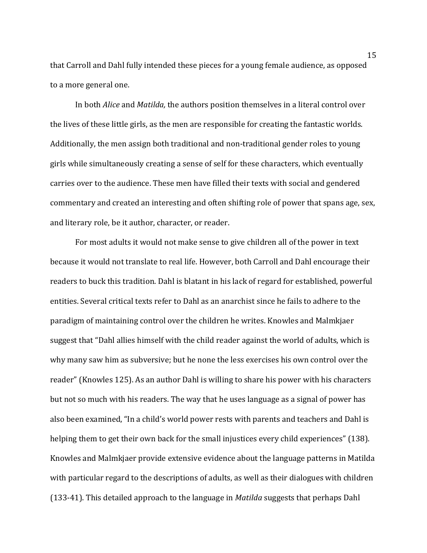that Carroll and Dahl fully intended these pieces for a young female audience, as opposed to a more general one.

In both *Alice* and *Matilda,* the authors position themselves in a literal control over the lives of these little girls, as the men are responsible for creating the fantastic worlds. Additionally, the men assign both traditional and non-traditional gender roles to young girls while simultaneously creating a sense of self for these characters, which eventually carries over to the audience. These men have filled their texts with social and gendered commentary and created an interesting and often shifting role of power that spans age, sex, and literary role, be it author, character, or reader.

For most adults it would not make sense to give children all of the power in text because it would not translate to real life. However, both Carroll and Dahl encourage their readers to buck this tradition. Dahl is blatant in his lack of regard for established, powerful entities. Several critical texts refer to Dahl as an anarchist since he fails to adhere to the paradigm of maintaining control over the children he writes. Knowles and Malmkjaer suggest that "Dahl allies himself with the child reader against the world of adults, which is why many saw him as subversive; but he none the less exercises his own control over the reader" (Knowles 125). As an author Dahl is willing to share his power with his characters but not so much with his readers. The way that he uses language as a signal of power has also been examined, "In a child's world power rests with parents and teachers and Dahl is helping them to get their own back for the small injustices every child experiences" (138). Knowles and Malmkjaer provide extensive evidence about the language patterns in Matilda with particular regard to the descriptions of adults, as well as their dialogues with children (133-41). This detailed approach to the language in *Matilda* suggests that perhaps Dahl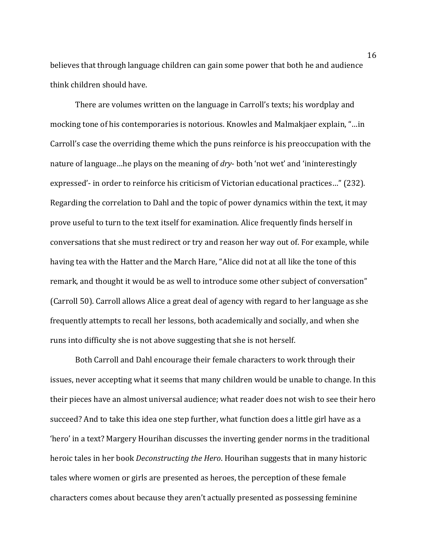believes that through language children can gain some power that both he and audience think children should have.

There are volumes written on the language in Carroll's texts; his wordplay and mocking tone of his contemporaries is notorious. Knowles and Malmakjaer explain, "…in Carroll's case the overriding theme which the puns reinforce is his preoccupation with the nature of language…he plays on the meaning of *dry*- both 'not wet' and 'ininterestingly expressed'- in order to reinforce his criticism of Victorian educational practices…" (232). Regarding the correlation to Dahl and the topic of power dynamics within the text, it may prove useful to turn to the text itself for examination. Alice frequently finds herself in conversations that she must redirect or try and reason her way out of. For example, while having tea with the Hatter and the March Hare, "Alice did not at all like the tone of this remark, and thought it would be as well to introduce some other subject of conversation" (Carroll 50). Carroll allows Alice a great deal of agency with regard to her language as she frequently attempts to recall her lessons, both academically and socially, and when she runs into difficulty she is not above suggesting that she is not herself.

Both Carroll and Dahl encourage their female characters to work through their issues, never accepting what it seems that many children would be unable to change. In this their pieces have an almost universal audience; what reader does not wish to see their hero succeed? And to take this idea one step further, what function does a little girl have as a 'hero' in a text? Margery Hourihan discusses the inverting gender norms in the traditional heroic tales in her book *Deconstructing the Hero*. Hourihan suggests that in many historic tales where women or girls are presented as heroes, the perception of these female characters comes about because they aren't actually presented as possessing feminine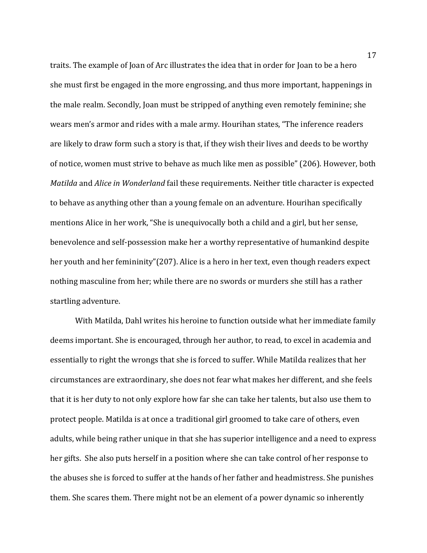traits. The example of Joan of Arc illustrates the idea that in order for Joan to be a hero she must first be engaged in the more engrossing, and thus more important, happenings in the male realm. Secondly, Joan must be stripped of anything even remotely feminine; she wears men's armor and rides with a male army. Hourihan states, "The inference readers are likely to draw form such a story is that, if they wish their lives and deeds to be worthy of notice, women must strive to behave as much like men as possible" (206). However, both *Matilda* and *Alice in Wonderland* fail these requirements. Neither title character is expected to behave as anything other than a young female on an adventure. Hourihan specifically mentions Alice in her work, "She is unequivocally both a child and a girl, but her sense, benevolence and self-possession make her a worthy representative of humankind despite her youth and her femininity"(207). Alice is a hero in her text, even though readers expect nothing masculine from her; while there are no swords or murders she still has a rather startling adventure.

With Matilda, Dahl writes his heroine to function outside what her immediate family deems important. She is encouraged, through her author, to read, to excel in academia and essentially to right the wrongs that she is forced to suffer. While Matilda realizes that her circumstances are extraordinary, she does not fear what makes her different, and she feels that it is her duty to not only explore how far she can take her talents, but also use them to protect people. Matilda is at once a traditional girl groomed to take care of others, even adults, while being rather unique in that she has superior intelligence and a need to express her gifts. She also puts herself in a position where she can take control of her response to the abuses she is forced to suffer at the hands of her father and headmistress. She punishes them. She scares them. There might not be an element of a power dynamic so inherently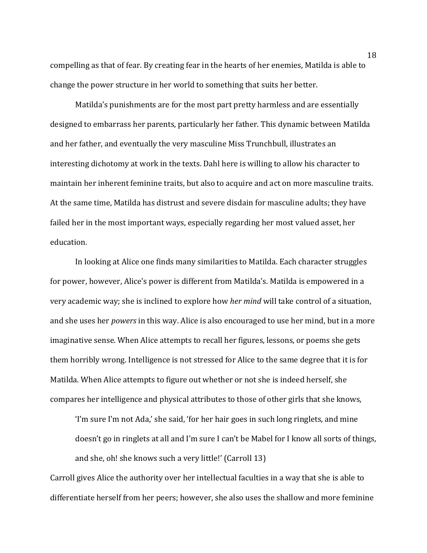compelling as that of fear. By creating fear in the hearts of her enemies, Matilda is able to change the power structure in her world to something that suits her better.

Matilda's punishments are for the most part pretty harmless and are essentially designed to embarrass her parents, particularly her father. This dynamic between Matilda and her father, and eventually the very masculine Miss Trunchbull, illustrates an interesting dichotomy at work in the texts. Dahl here is willing to allow his character to maintain her inherent feminine traits, but also to acquire and act on more masculine traits. At the same time, Matilda has distrust and severe disdain for masculine adults; they have failed her in the most important ways, especially regarding her most valued asset, her education.

In looking at Alice one finds many similarities to Matilda. Each character struggles for power, however, Alice's power is different from Matilda's. Matilda is empowered in a very academic way; she is inclined to explore how *her mind* will take control of a situation, and she uses her *powers* in this way. Alice is also encouraged to use her mind, but in a more imaginative sense. When Alice attempts to recall her figures, lessons, or poems she gets them horribly wrong. Intelligence is not stressed for Alice to the same degree that it is for Matilda. When Alice attempts to figure out whether or not she is indeed herself, she compares her intelligence and physical attributes to those of other girls that she knows,

'I'm sure I'm not Ada,' she said, 'for her hair goes in such long ringlets, and mine doesn't go in ringlets at all and I'm sure I can't be Mabel for I know all sorts of things, and she, oh! she knows such a very little!' (Carroll 13)

Carroll gives Alice the authority over her intellectual faculties in a way that she is able to differentiate herself from her peers; however, she also uses the shallow and more feminine

18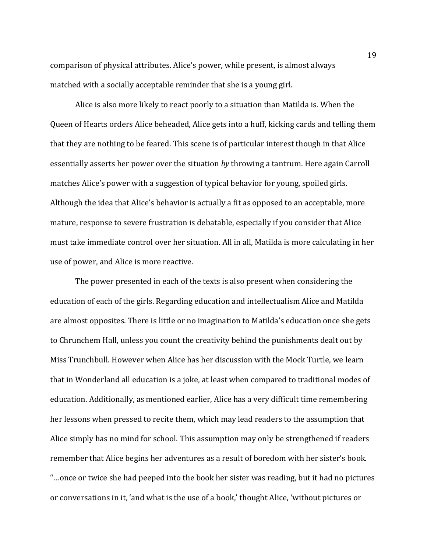comparison of physical attributes. Alice's power, while present, is almost always matched with a socially acceptable reminder that she is a young girl.

Alice is also more likely to react poorly to a situation than Matilda is. When the Queen of Hearts orders Alice beheaded, Alice gets into a huff, kicking cards and telling them that they are nothing to be feared. This scene is of particular interest though in that Alice essentially asserts her power over the situation *by* throwing a tantrum. Here again Carroll matches Alice's power with a suggestion of typical behavior for young, spoiled girls. Although the idea that Alice's behavior is actually a fit as opposed to an acceptable, more mature, response to severe frustration is debatable, especially if you consider that Alice must take immediate control over her situation. All in all, Matilda is more calculating in her use of power, and Alice is more reactive.

The power presented in each of the texts is also present when considering the education of each of the girls. Regarding education and intellectualism Alice and Matilda are almost opposites. There is little or no imagination to Matilda's education once she gets to Chrunchem Hall, unless you count the creativity behind the punishments dealt out by Miss Trunchbull. However when Alice has her discussion with the Mock Turtle, we learn that in Wonderland all education is a joke, at least when compared to traditional modes of education. Additionally, as mentioned earlier, Alice has a very difficult time remembering her lessons when pressed to recite them, which may lead readers to the assumption that Alice simply has no mind for school. This assumption may only be strengthened if readers remember that Alice begins her adventures as a result of boredom with her sister's book. "…once or twice she had peeped into the book her sister was reading, but it had no pictures or conversations in it, 'and what is the use of a book,' thought Alice, 'without pictures or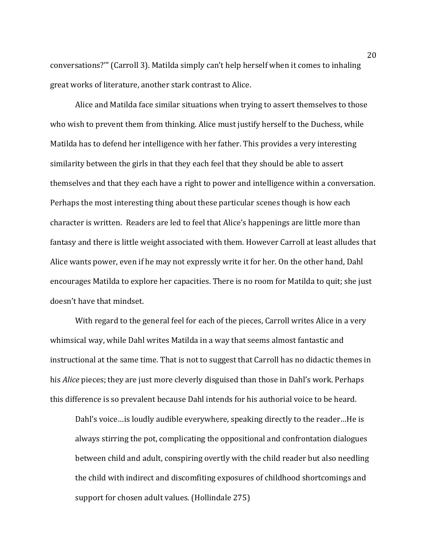conversations?'" (Carroll 3). Matilda simply can't help herself when it comes to inhaling great works of literature, another stark contrast to Alice.

Alice and Matilda face similar situations when trying to assert themselves to those who wish to prevent them from thinking. Alice must justify herself to the Duchess, while Matilda has to defend her intelligence with her father. This provides a very interesting similarity between the girls in that they each feel that they should be able to assert themselves and that they each have a right to power and intelligence within a conversation. Perhaps the most interesting thing about these particular scenes though is how each character is written. Readers are led to feel that Alice's happenings are little more than fantasy and there is little weight associated with them. However Carroll at least alludes that Alice wants power, even if he may not expressly write it for her. On the other hand, Dahl encourages Matilda to explore her capacities. There is no room for Matilda to quit; she just doesn't have that mindset.

With regard to the general feel for each of the pieces, Carroll writes Alice in a very whimsical way, while Dahl writes Matilda in a way that seems almost fantastic and instructional at the same time. That is not to suggest that Carroll has no didactic themes in his *Alice* pieces; they are just more cleverly disguised than those in Dahl's work. Perhaps this difference is so prevalent because Dahl intends for his authorial voice to be heard.

Dahl's voice…is loudly audible everywhere, speaking directly to the reader…He is always stirring the pot, complicating the oppositional and confrontation dialogues between child and adult, conspiring overtly with the child reader but also needling the child with indirect and discomfiting exposures of childhood shortcomings and support for chosen adult values. (Hollindale 275)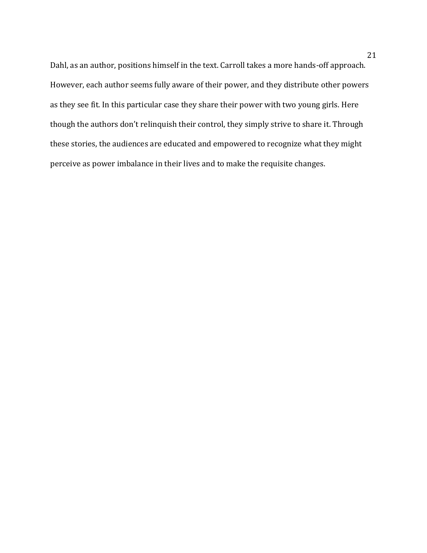Dahl, as an author, positions himself in the text. Carroll takes a more hands-off approach. However, each author seems fully aware of their power, and they distribute other powers as they see fit. In this particular case they share their power with two young girls. Here though the authors don't relinquish their control, they simply strive to share it. Through these stories, the audiences are educated and empowered to recognize what they might perceive as power imbalance in their lives and to make the requisite changes.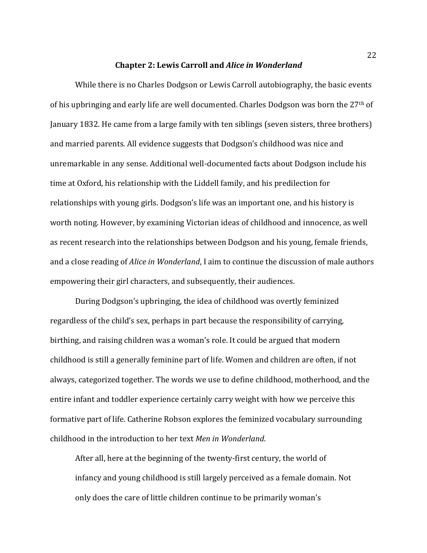### **Chapter 2: Lewis Carroll and** *Alice in Wonderland*

While there is no Charles Dodgson or Lewis Carroll autobiography, the basic events of his upbringing and early life are well documented. Charles Dodgson was born the 27th of January 1832. He came from a large family with ten siblings (seven sisters, three brothers) and married parents. All evidence suggests that Dodgson's childhood was nice and unremarkable in any sense. Additional well-documented facts about Dodgson include his time at Oxford, his relationship with the Liddell family, and his predilection for relationships with young girls. Dodgson's life was an important one, and his history is worth noting. However, by examining Victorian ideas of childhood and innocence, as well as recent research into the relationships between Dodgson and his young, female friends, and a close reading of *Alice in Wonderland*, I aim to continue the discussion of male authors empowering their girl characters, and subsequently, their audiences.

During Dodgson's upbringing, the idea of childhood was overtly feminized regardless of the child's sex, perhaps in part because the responsibility of carrying, birthing, and raising children was a woman's role. It could be argued that modern childhood is still a generally feminine part of life. Women and children are often, if not always, categorized together. The words we use to define childhood, motherhood, and the entire infant and toddler experience certainly carry weight with how we perceive this formative part of life. Catherine Robson explores the feminized vocabulary surrounding childhood in the introduction to her text *Men in Wonderland*.

After all, here at the beginning of the twenty-first century, the world of infancy and young childhood is still largely perceived as a female domain. Not only does the care of little children continue to be primarily woman's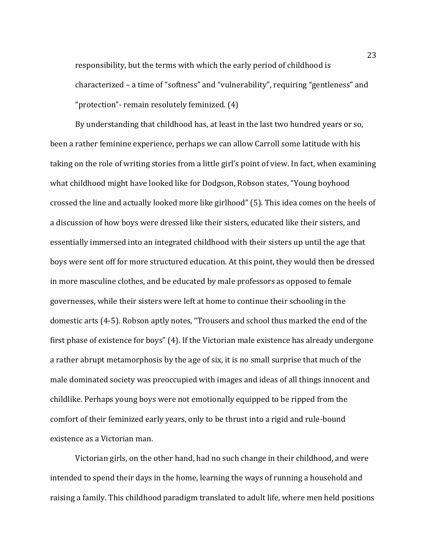responsibility, but the terms with which the early period of childhood is characterized – a time of "softness" and "vulnerability", requiring "gentleness" and "protection"- remain resolutely feminized. (4)

By understanding that childhood has, at least in the last two hundred years or so, been a rather feminine experience, perhaps we can allow Carroll some latitude with his taking on the role of writing stories from a little girl's point of view. In fact, when examining what childhood might have looked like for Dodgson, Robson states, "Young boyhood crossed the line and actually looked more like girlhood" (5). This idea comes on the heels of a discussion of how boys were dressed like their sisters, educated like their sisters, and essentially immersed into an integrated childhood with their sisters up until the age that boys were sent off for more structured education. At this point, they would then be dressed in more masculine clothes, and be educated by male professors as opposed to female governesses, while their sisters were left at home to continue their schooling in the domestic arts (4-5). Robson aptly notes, "Trousers and school thus marked the end of the first phase of existence for boys" (4). If the Victorian male existence has already undergone a rather abrupt metamorphosis by the age of six, it is no small surprise that much of the male dominated society was preoccupied with images and ideas of all things innocent and childlike. Perhaps young boys were not emotionally equipped to be ripped from the comfort of their feminized early years, only to be thrust into a rigid and rule-bound existence as a Victorian man.

Victorian girls, on the other hand, had no such change in their childhood, and were intended to spend their days in the home, learning the ways of running a household and raising a family. This childhood paradigm translated to adult life, where men held positions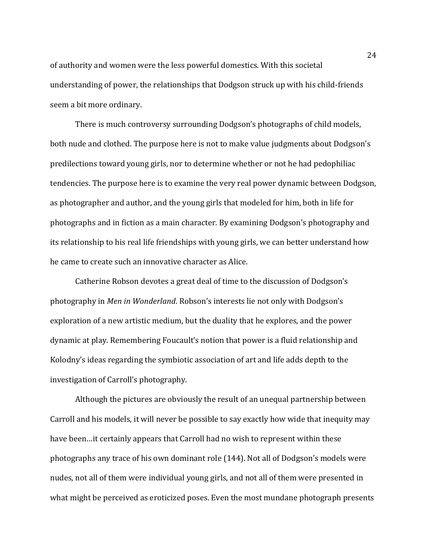of authority and women were the less powerful domestics. With this societal understanding of power, the relationships that Dodgson struck up with his child-friends seem a bit more ordinary.

There is much controversy surrounding Dodgson's photographs of child models, both nude and clothed. The purpose here is not to make value judgments about Dodgson's predilections toward young girls, nor to determine whether or not he had pedophiliac tendencies. The purpose here is to examine the very real power dynamic between Dodgson, as photographer and author, and the young girls that modeled for him, both in life for photographs and in fiction as a main character. By examining Dodgson's photography and its relationship to his real life friendships with young girls, we can better understand how he came to create such an innovative character as Alice.

Catherine Robson devotes a great deal of time to the discussion of Dodgson's photography in *Men in Wonderland*. Robson's interests lie not only with Dodgson's exploration of a new artistic medium, but the duality that he explores, and the power dynamic at play. Remembering Foucault's notion that power is a fluid relationship and Kolodny's ideas regarding the symbiotic association of art and life adds depth to the investigation of Carroll's photography.

Although the pictures are obviously the result of an unequal partnership between Carroll and his models, it will never be possible to say exactly how wide that inequity may have been…it certainly appears that Carroll had no wish to represent within these photographs any trace of his own dominant role (144). Not all of Dodgson's models were nudes, not all of them were individual young girls, and not all of them were presented in what might be perceived as eroticized poses. Even the most mundane photograph presents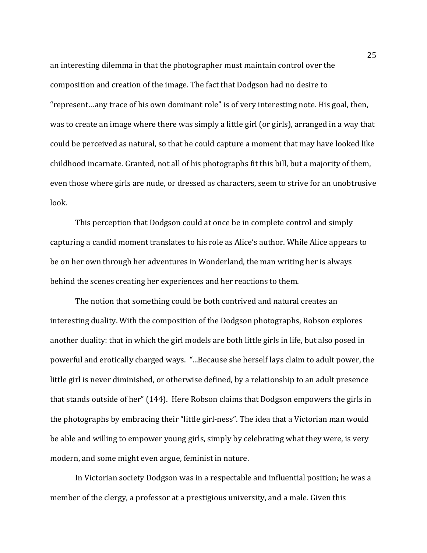an interesting dilemma in that the photographer must maintain control over the composition and creation of the image. The fact that Dodgson had no desire to "represent…any trace of his own dominant role" is of very interesting note. His goal, then, was to create an image where there was simply a little girl (or girls), arranged in a way that could be perceived as natural, so that he could capture a moment that may have looked like childhood incarnate. Granted, not all of his photographs fit this bill, but a majority of them, even those where girls are nude, or dressed as characters, seem to strive for an unobtrusive look.

This perception that Dodgson could at once be in complete control and simply capturing a candid moment translates to his role as Alice's author. While Alice appears to be on her own through her adventures in Wonderland, the man writing her is always behind the scenes creating her experiences and her reactions to them.

The notion that something could be both contrived and natural creates an interesting duality. With the composition of the Dodgson photographs, Robson explores another duality: that in which the girl models are both little girls in life, but also posed in powerful and erotically charged ways. "...Because she herself lays claim to adult power, the little girl is never diminished, or otherwise defined, by a relationship to an adult presence that stands outside of her" (144). Here Robson claims that Dodgson empowers the girls in the photographs by embracing their "little girl-ness". The idea that a Victorian man would be able and willing to empower young girls, simply by celebrating what they were, is very modern, and some might even argue, feminist in nature.

In Victorian society Dodgson was in a respectable and influential position; he was a member of the clergy, a professor at a prestigious university, and a male. Given this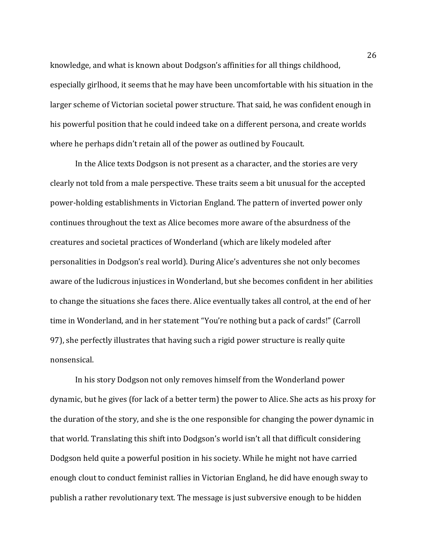knowledge, and what is known about Dodgson's affinities for all things childhood, especially girlhood, it seems that he may have been uncomfortable with his situation in the larger scheme of Victorian societal power structure. That said, he was confident enough in his powerful position that he could indeed take on a different persona, and create worlds where he perhaps didn't retain all of the power as outlined by Foucault.

In the Alice texts Dodgson is not present as a character, and the stories are very clearly not told from a male perspective. These traits seem a bit unusual for the accepted power-holding establishments in Victorian England. The pattern of inverted power only continues throughout the text as Alice becomes more aware of the absurdness of the creatures and societal practices of Wonderland (which are likely modeled after personalities in Dodgson's real world). During Alice's adventures she not only becomes aware of the ludicrous injustices in Wonderland, but she becomes confident in her abilities to change the situations she faces there. Alice eventually takes all control, at the end of her time in Wonderland, and in her statement "You're nothing but a pack of cards!" (Carroll 97), she perfectly illustrates that having such a rigid power structure is really quite nonsensical.

In his story Dodgson not only removes himself from the Wonderland power dynamic, but he gives (for lack of a better term) the power to Alice. She acts as his proxy for the duration of the story, and she is the one responsible for changing the power dynamic in that world. Translating this shift into Dodgson's world isn't all that difficult considering Dodgson held quite a powerful position in his society. While he might not have carried enough clout to conduct feminist rallies in Victorian England, he did have enough sway to publish a rather revolutionary text. The message is just subversive enough to be hidden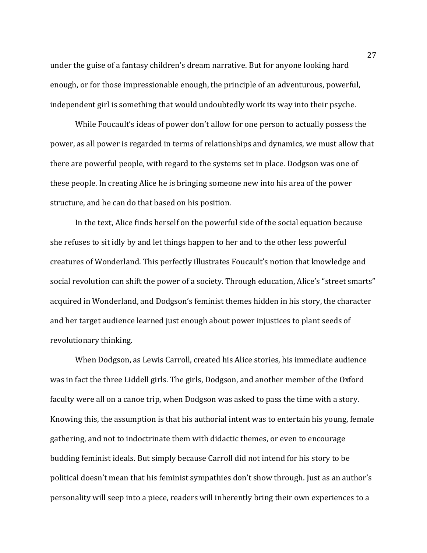under the guise of a fantasy children's dream narrative. But for anyone looking hard enough, or for those impressionable enough, the principle of an adventurous, powerful, independent girl is something that would undoubtedly work its way into their psyche.

While Foucault's ideas of power don't allow for one person to actually possess the power, as all power is regarded in terms of relationships and dynamics, we must allow that there are powerful people, with regard to the systems set in place. Dodgson was one of these people. In creating Alice he is bringing someone new into his area of the power structure, and he can do that based on his position.

In the text, Alice finds herself on the powerful side of the social equation because she refuses to sit idly by and let things happen to her and to the other less powerful creatures of Wonderland. This perfectly illustrates Foucault's notion that knowledge and social revolution can shift the power of a society. Through education, Alice's "street smarts" acquired in Wonderland, and Dodgson's feminist themes hidden in his story, the character and her target audience learned just enough about power injustices to plant seeds of revolutionary thinking.

When Dodgson, as Lewis Carroll, created his Alice stories, his immediate audience was in fact the three Liddell girls. The girls, Dodgson, and another member of the Oxford faculty were all on a canoe trip, when Dodgson was asked to pass the time with a story. Knowing this, the assumption is that his authorial intent was to entertain his young, female gathering, and not to indoctrinate them with didactic themes, or even to encourage budding feminist ideals. But simply because Carroll did not intend for his story to be political doesn't mean that his feminist sympathies don't show through. Just as an author's personality will seep into a piece, readers will inherently bring their own experiences to a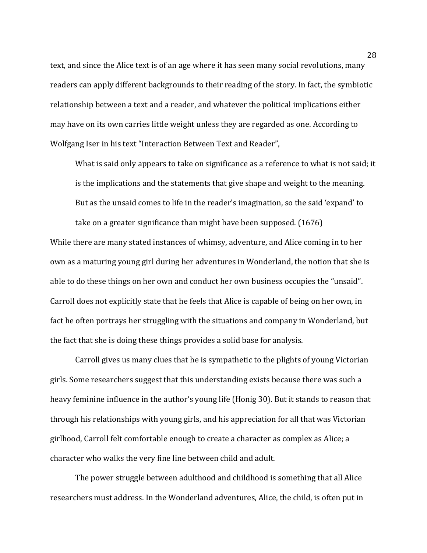text, and since the Alice text is of an age where it has seen many social revolutions, many readers can apply different backgrounds to their reading of the story. In fact, the symbiotic relationship between a text and a reader, and whatever the political implications either may have on its own carries little weight unless they are regarded as one. According to Wolfgang Iser in his text "Interaction Between Text and Reader",

What is said only appears to take on significance as a reference to what is not said; it is the implications and the statements that give shape and weight to the meaning. But as the unsaid comes to life in the reader's imagination, so the said 'expand' to take on a greater significance than might have been supposed. (1676)

While there are many stated instances of whimsy, adventure, and Alice coming in to her own as a maturing young girl during her adventures in Wonderland, the notion that she is able to do these things on her own and conduct her own business occupies the "unsaid". Carroll does not explicitly state that he feels that Alice is capable of being on her own, in fact he often portrays her struggling with the situations and company in Wonderland, but the fact that she is doing these things provides a solid base for analysis.

Carroll gives us many clues that he is sympathetic to the plights of young Victorian girls. Some researchers suggest that this understanding exists because there was such a heavy feminine influence in the author's young life (Honig 30). But it stands to reason that through his relationships with young girls, and his appreciation for all that was Victorian girlhood, Carroll felt comfortable enough to create a character as complex as Alice; a character who walks the very fine line between child and adult.

The power struggle between adulthood and childhood is something that all Alice researchers must address. In the Wonderland adventures, Alice, the child, is often put in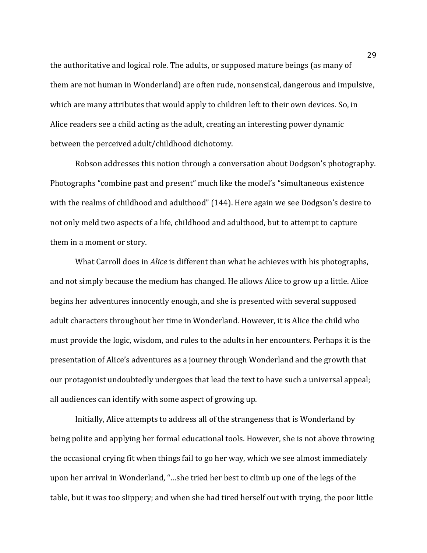the authoritative and logical role. The adults, or supposed mature beings (as many of them are not human in Wonderland) are often rude, nonsensical, dangerous and impulsive, which are many attributes that would apply to children left to their own devices. So, in Alice readers see a child acting as the adult, creating an interesting power dynamic between the perceived adult/childhood dichotomy.

Robson addresses this notion through a conversation about Dodgson's photography. Photographs "combine past and present" much like the model's "simultaneous existence with the realms of childhood and adulthood" (144). Here again we see Dodgson's desire to not only meld two aspects of a life, childhood and adulthood, but to attempt to capture them in a moment or story.

What Carroll does in *Alice* is different than what he achieves with his photographs, and not simply because the medium has changed. He allows Alice to grow up a little. Alice begins her adventures innocently enough, and she is presented with several supposed adult characters throughout her time in Wonderland. However, it is Alice the child who must provide the logic, wisdom, and rules to the adults in her encounters. Perhaps it is the presentation of Alice's adventures as a journey through Wonderland and the growth that our protagonist undoubtedly undergoes that lead the text to have such a universal appeal; all audiences can identify with some aspect of growing up.

Initially, Alice attempts to address all of the strangeness that is Wonderland by being polite and applying her formal educational tools. However, she is not above throwing the occasional crying fit when things fail to go her way, which we see almost immediately upon her arrival in Wonderland, "…she tried her best to climb up one of the legs of the table, but it was too slippery; and when she had tired herself out with trying, the poor little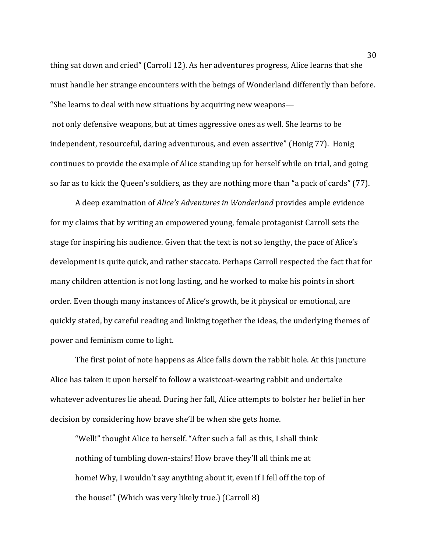thing sat down and cried" (Carroll 12). As her adventures progress, Alice learns that she must handle her strange encounters with the beings of Wonderland differently than before. "She learns to deal with new situations by acquiring new weapons not only defensive weapons, but at times aggressive ones as well. She learns to be independent, resourceful, daring adventurous, and even assertive" (Honig 77). Honig continues to provide the example of Alice standing up for herself while on trial, and going so far as to kick the Queen's soldiers, as they are nothing more than "a pack of cards" (77).

A deep examination of *Alice's Adventures in Wonderland* provides ample evidence for my claims that by writing an empowered young, female protagonist Carroll sets the stage for inspiring his audience. Given that the text is not so lengthy, the pace of Alice's development is quite quick, and rather staccato. Perhaps Carroll respected the fact that for many children attention is not long lasting, and he worked to make his points in short order. Even though many instances of Alice's growth, be it physical or emotional, are quickly stated, by careful reading and linking together the ideas, the underlying themes of power and feminism come to light.

The first point of note happens as Alice falls down the rabbit hole. At this juncture Alice has taken it upon herself to follow a waistcoat-wearing rabbit and undertake whatever adventures lie ahead. During her fall, Alice attempts to bolster her belief in her decision by considering how brave she'll be when she gets home.

"Well!" thought Alice to herself. "After such a fall as this, I shall think nothing of tumbling down-stairs! How brave they'll all think me at home! Why, I wouldn't say anything about it, even if I fell off the top of the house!" (Which was very likely true.) (Carroll 8)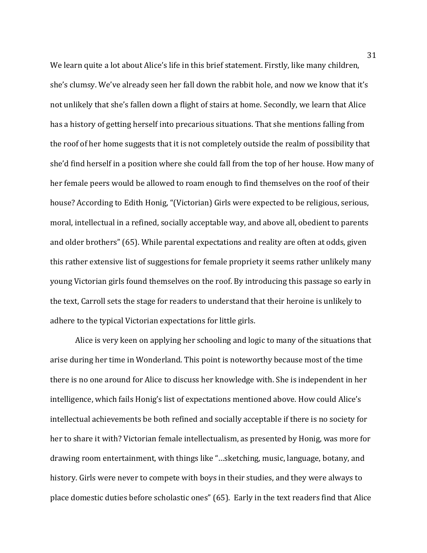We learn quite a lot about Alice's life in this brief statement. Firstly, like many children, she's clumsy. We've already seen her fall down the rabbit hole, and now we know that it's not unlikely that she's fallen down a flight of stairs at home. Secondly, we learn that Alice has a history of getting herself into precarious situations. That she mentions falling from the roof of her home suggests that it is not completely outside the realm of possibility that she'd find herself in a position where she could fall from the top of her house. How many of her female peers would be allowed to roam enough to find themselves on the roof of their house? According to Edith Honig, "(Victorian) Girls were expected to be religious, serious, moral, intellectual in a refined, socially acceptable way, and above all, obedient to parents and older brothers" (65). While parental expectations and reality are often at odds, given this rather extensive list of suggestions for female propriety it seems rather unlikely many young Victorian girls found themselves on the roof. By introducing this passage so early in the text, Carroll sets the stage for readers to understand that their heroine is unlikely to adhere to the typical Victorian expectations for little girls.

Alice is very keen on applying her schooling and logic to many of the situations that arise during her time in Wonderland. This point is noteworthy because most of the time there is no one around for Alice to discuss her knowledge with. She is independent in her intelligence, which fails Honig's list of expectations mentioned above. How could Alice's intellectual achievements be both refined and socially acceptable if there is no society for her to share it with? Victorian female intellectualism, as presented by Honig, was more for drawing room entertainment, with things like "…sketching, music, language, botany, and history. Girls were never to compete with boys in their studies, and they were always to place domestic duties before scholastic ones" (65). Early in the text readers find that Alice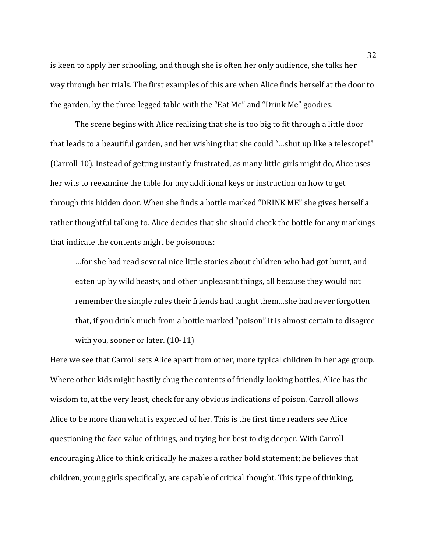is keen to apply her schooling, and though she is often her only audience, she talks her way through her trials. The first examples of this are when Alice finds herself at the door to the garden, by the three-legged table with the "Eat Me" and "Drink Me" goodies.

The scene begins with Alice realizing that she is too big to fit through a little door that leads to a beautiful garden, and her wishing that she could "…shut up like a telescope!" (Carroll 10). Instead of getting instantly frustrated, as many little girls might do, Alice uses her wits to reexamine the table for any additional keys or instruction on how to get through this hidden door. When she finds a bottle marked "DRINK ME" she gives herself a rather thoughtful talking to. Alice decides that she should check the bottle for any markings that indicate the contents might be poisonous:

…for she had read several nice little stories about children who had got burnt, and eaten up by wild beasts, and other unpleasant things, all because they would not remember the simple rules their friends had taught them…she had never forgotten that, if you drink much from a bottle marked "poison" it is almost certain to disagree with you, sooner or later. (10-11)

Here we see that Carroll sets Alice apart from other, more typical children in her age group. Where other kids might hastily chug the contents of friendly looking bottles, Alice has the wisdom to, at the very least, check for any obvious indications of poison. Carroll allows Alice to be more than what is expected of her. This is the first time readers see Alice questioning the face value of things, and trying her best to dig deeper. With Carroll encouraging Alice to think critically he makes a rather bold statement; he believes that children, young girls specifically, are capable of critical thought. This type of thinking,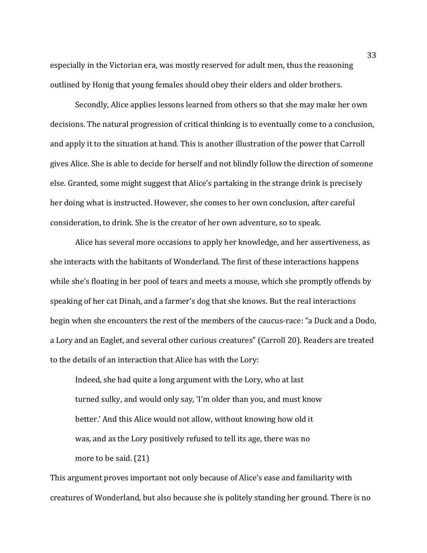especially in the Victorian era, was mostly reserved for adult men, thus the reasoning outlined by Honig that young females should obey their elders and older brothers.

Secondly, Alice applies lessons learned from others so that she may make her own decisions. The natural progression of critical thinking is to eventually come to a conclusion, and apply it to the situation at hand. This is another illustration of the power that Carroll gives Alice. She is able to decide for herself and not blindly follow the direction of someone else. Granted, some might suggest that Alice's partaking in the strange drink is precisely her doing what is instructed. However, she comes to her own conclusion, after careful consideration, to drink. She is the creator of her own adventure, so to speak.

Alice has several more occasions to apply her knowledge, and her assertiveness, as she interacts with the habitants of Wonderland. The first of these interactions happens while she's floating in her pool of tears and meets a mouse, which she promptly offends by speaking of her cat Dinah, and a farmer's dog that she knows. But the real interactions begin when she encounters the rest of the members of the caucus-race: "a Duck and a Dodo, a Lory and an Eaglet, and several other curious creatures" (Carroll 20). Readers are treated to the details of an interaction that Alice has with the Lory:

Indeed, she had quite a long argument with the Lory, who at last turned sulky, and would only say, 'I'm older than you, and must know better.' And this Alice would not allow, without knowing how old it was, and as the Lory positively refused to tell its age, there was no more to be said. (21)

This argument proves important not only because of Alice's ease and familiarity with creatures of Wonderland, but also because she is politely standing her ground. There is no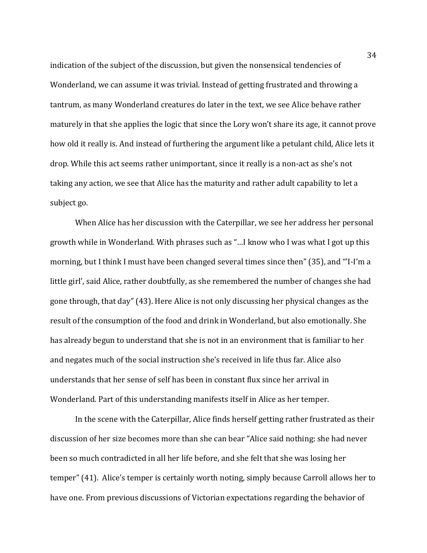indication of the subject of the discussion, but given the nonsensical tendencies of Wonderland, we can assume it was trivial. Instead of getting frustrated and throwing a tantrum, as many Wonderland creatures do later in the text, we see Alice behave rather maturely in that she applies the logic that since the Lory won't share its age, it cannot prove how old it really is. And instead of furthering the argument like a petulant child, Alice lets it drop. While this act seems rather unimportant, since it really is a non-act as she's not taking any action, we see that Alice has the maturity and rather adult capability to let a subject go.

When Alice has her discussion with the Caterpillar, we see her address her personal growth while in Wonderland. With phrases such as "…I know who I was what I got up this morning, but I think I must have been changed several times since then" (35), and "'I-I'm a little girl', said Alice, rather doubtfully, as she remembered the number of changes she had gone through, that day" (43). Here Alice is not only discussing her physical changes as the result of the consumption of the food and drink in Wonderland, but also emotionally. She has already begun to understand that she is not in an environment that is familiar to her and negates much of the social instruction she's received in life thus far. Alice also understands that her sense of self has been in constant flux since her arrival in Wonderland. Part of this understanding manifests itself in Alice as her temper.

In the scene with the Caterpillar, Alice finds herself getting rather frustrated as their discussion of her size becomes more than she can bear "Alice said nothing: she had never been so much contradicted in all her life before, and she felt that she was losing her temper" (41). Alice's temper is certainly worth noting, simply because Carroll allows her to have one. From previous discussions of Victorian expectations regarding the behavior of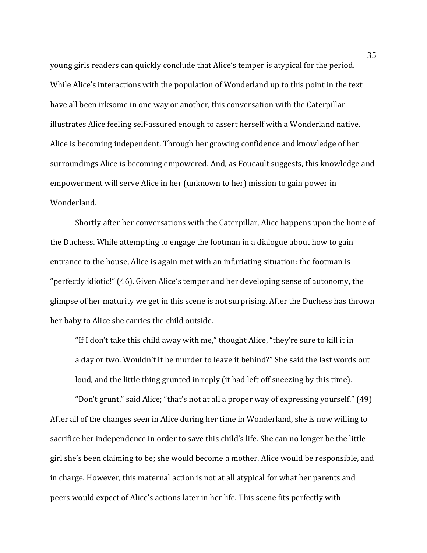young girls readers can quickly conclude that Alice's temper is atypical for the period. While Alice's interactions with the population of Wonderland up to this point in the text have all been irksome in one way or another, this conversation with the Caterpillar illustrates Alice feeling self-assured enough to assert herself with a Wonderland native. Alice is becoming independent. Through her growing confidence and knowledge of her surroundings Alice is becoming empowered. And, as Foucault suggests, this knowledge and empowerment will serve Alice in her (unknown to her) mission to gain power in Wonderland.

Shortly after her conversations with the Caterpillar, Alice happens upon the home of the Duchess. While attempting to engage the footman in a dialogue about how to gain entrance to the house, Alice is again met with an infuriating situation: the footman is "perfectly idiotic!" (46). Given Alice's temper and her developing sense of autonomy, the glimpse of her maturity we get in this scene is not surprising. After the Duchess has thrown her baby to Alice she carries the child outside.

"If I don't take this child away with me," thought Alice, "they're sure to kill it in a day or two. Wouldn't it be murder to leave it behind?" She said the last words out loud, and the little thing grunted in reply (it had left off sneezing by this time).

"Don't grunt," said Alice; "that's not at all a proper way of expressing yourself." (49) After all of the changes seen in Alice during her time in Wonderland, she is now willing to sacrifice her independence in order to save this child's life. She can no longer be the little girl she's been claiming to be; she would become a mother. Alice would be responsible, and in charge. However, this maternal action is not at all atypical for what her parents and peers would expect of Alice's actions later in her life. This scene fits perfectly with

35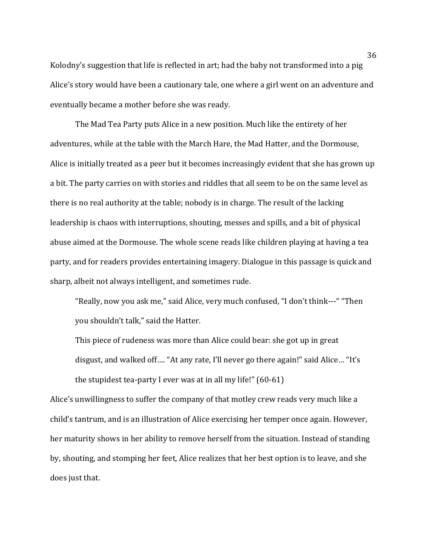Kolodny's suggestion that life is reflected in art; had the baby not transformed into a pig Alice's story would have been a cautionary tale, one where a girl went on an adventure and eventually became a mother before she was ready.

The Mad Tea Party puts Alice in a new position. Much like the entirety of her adventures, while at the table with the March Hare, the Mad Hatter, and the Dormouse, Alice is initially treated as a peer but it becomes increasingly evident that she has grown up a bit. The party carries on with stories and riddles that all seem to be on the same level as there is no real authority at the table; nobody is in charge. The result of the lacking leadership is chaos with interruptions, shouting, messes and spills, and a bit of physical abuse aimed at the Dormouse. The whole scene reads like children playing at having a tea party, and for readers provides entertaining imagery. Dialogue in this passage is quick and sharp, albeit not always intelligent, and sometimes rude.

"Really, now you ask me," said Alice, very much confused, "I don't think---" "Then you shouldn't talk," said the Hatter.

This piece of rudeness was more than Alice could bear: she got up in great disgust, and walked off…. "At any rate, I'll never go there again!" said Alice… "It's the stupidest tea-party I ever was at in all my life!" (60-61)

Alice's unwillingness to suffer the company of that motley crew reads very much like a child's tantrum, and is an illustration of Alice exercising her temper once again. However, her maturity shows in her ability to remove herself from the situation. Instead of standing by, shouting, and stomping her feet, Alice realizes that her best option is to leave, and she does just that.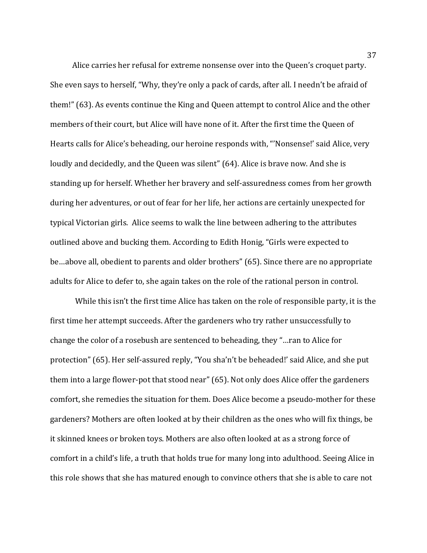Alice carries her refusal for extreme nonsense over into the Queen's croquet party. She even says to herself, "Why, they're only a pack of cards, after all. I needn't be afraid of them!" (63). As events continue the King and Queen attempt to control Alice and the other members of their court, but Alice will have none of it. After the first time the Queen of Hearts calls for Alice's beheading, our heroine responds with, "'Nonsense!' said Alice, very loudly and decidedly, and the Queen was silent" (64). Alice is brave now. And she is standing up for herself. Whether her bravery and self-assuredness comes from her growth during her adventures, or out of fear for her life, her actions are certainly unexpected for typical Victorian girls. Alice seems to walk the line between adhering to the attributes outlined above and bucking them. According to Edith Honig, "Girls were expected to be…above all, obedient to parents and older brothers" (65). Since there are no appropriate adults for Alice to defer to, she again takes on the role of the rational person in control.

While this isn't the first time Alice has taken on the role of responsible party, it is the first time her attempt succeeds. After the gardeners who try rather unsuccessfully to change the color of a rosebush are sentenced to beheading, they "…ran to Alice for protection" (65). Her self-assured reply, "You sha'n't be beheaded!' said Alice, and she put them into a large flower-pot that stood near" (65). Not only does Alice offer the gardeners comfort, she remedies the situation for them. Does Alice become a pseudo-mother for these gardeners? Mothers are often looked at by their children as the ones who will fix things, be it skinned knees or broken toys. Mothers are also often looked at as a strong force of comfort in a child's life, a truth that holds true for many long into adulthood. Seeing Alice in this role shows that she has matured enough to convince others that she is able to care not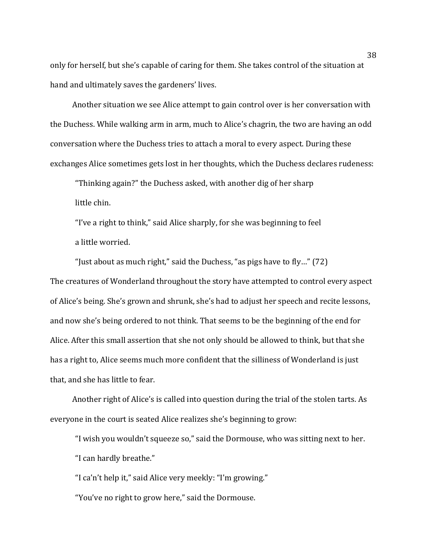only for herself, but she's capable of caring for them. She takes control of the situation at hand and ultimately saves the gardeners' lives.

Another situation we see Alice attempt to gain control over is her conversation with the Duchess. While walking arm in arm, much to Alice's chagrin, the two are having an odd conversation where the Duchess tries to attach a moral to every aspect. During these exchanges Alice sometimes gets lost in her thoughts, which the Duchess declares rudeness:

"Thinking again?" the Duchess asked, with another dig of her sharp little chin.

"I've a right to think," said Alice sharply, for she was beginning to feel a little worried.

"Just about as much right," said the Duchess, "as pigs have to fly…" (72) The creatures of Wonderland throughout the story have attempted to control every aspect of Alice's being. She's grown and shrunk, she's had to adjust her speech and recite lessons, and now she's being ordered to not think. That seems to be the beginning of the end for Alice. After this small assertion that she not only should be allowed to think, but that she has a right to, Alice seems much more confident that the silliness of Wonderland is just that, and she has little to fear.

Another right of Alice's is called into question during the trial of the stolen tarts. As everyone in the court is seated Alice realizes she's beginning to grow:

"I wish you wouldn't squeeze so," said the Dormouse, who was sitting next to her. "I can hardly breathe."

"I ca'n't help it," said Alice very meekly: "I'm growing."

"You've no right to grow here," said the Dormouse.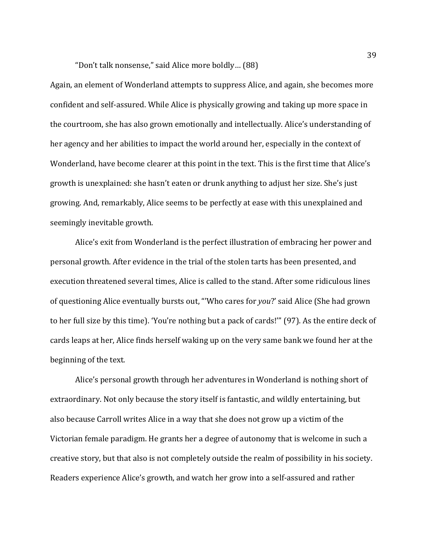"Don't talk nonsense," said Alice more boldly… (88)

Again, an element of Wonderland attempts to suppress Alice, and again, she becomes more confident and self-assured. While Alice is physically growing and taking up more space in the courtroom, she has also grown emotionally and intellectually. Alice's understanding of her agency and her abilities to impact the world around her, especially in the context of Wonderland, have become clearer at this point in the text. This is the first time that Alice's growth is unexplained: she hasn't eaten or drunk anything to adjust her size. She's just growing. And, remarkably, Alice seems to be perfectly at ease with this unexplained and seemingly inevitable growth.

Alice's exit from Wonderland is the perfect illustration of embracing her power and personal growth. After evidence in the trial of the stolen tarts has been presented, and execution threatened several times, Alice is called to the stand. After some ridiculous lines of questioning Alice eventually bursts out, "'Who cares for *you*?' said Alice (She had grown to her full size by this time). 'You're nothing but a pack of cards!'" (97). As the entire deck of cards leaps at her, Alice finds herself waking up on the very same bank we found her at the beginning of the text.

Alice's personal growth through her adventures in Wonderland is nothing short of extraordinary. Not only because the story itself is fantastic, and wildly entertaining, but also because Carroll writes Alice in a way that she does not grow up a victim of the Victorian female paradigm. He grants her a degree of autonomy that is welcome in such a creative story, but that also is not completely outside the realm of possibility in his society. Readers experience Alice's growth, and watch her grow into a self-assured and rather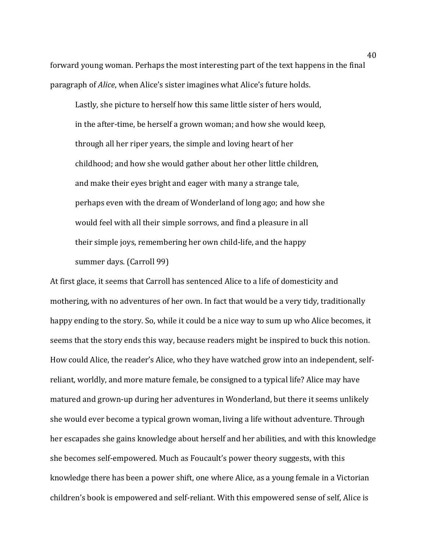forward young woman. Perhaps the most interesting part of the text happens in the final paragraph of *Alice*, when Alice's sister imagines what Alice's future holds.

Lastly, she picture to herself how this same little sister of hers would, in the after-time, be herself a grown woman; and how she would keep, through all her riper years, the simple and loving heart of her childhood; and how she would gather about her other little children, and make their eyes bright and eager with many a strange tale, perhaps even with the dream of Wonderland of long ago; and how she would feel with all their simple sorrows, and find a pleasure in all their simple joys, remembering her own child-life, and the happy summer days. (Carroll 99)

At first glace, it seems that Carroll has sentenced Alice to a life of domesticity and mothering, with no adventures of her own. In fact that would be a very tidy, traditionally happy ending to the story. So, while it could be a nice way to sum up who Alice becomes, it seems that the story ends this way, because readers might be inspired to buck this notion. How could Alice, the reader's Alice, who they have watched grow into an independent, selfreliant, worldly, and more mature female, be consigned to a typical life? Alice may have matured and grown-up during her adventures in Wonderland, but there it seems unlikely she would ever become a typical grown woman, living a life without adventure. Through her escapades she gains knowledge about herself and her abilities, and with this knowledge she becomes self-empowered. Much as Foucault's power theory suggests, with this knowledge there has been a power shift, one where Alice, as a young female in a Victorian children's book is empowered and self-reliant. With this empowered sense of self, Alice is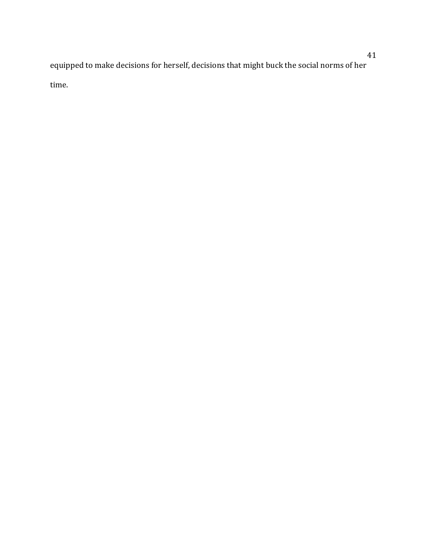equipped to make decisions for herself, decisions that might buck the social norms of her time.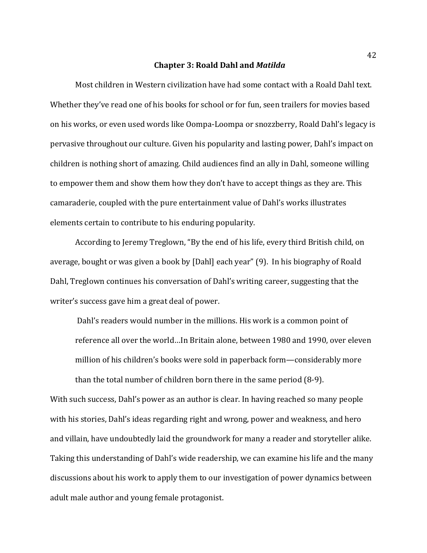#### **Chapter 3: Roald Dahl and** *Matilda*

Most children in Western civilization have had some contact with a Roald Dahl text. Whether they've read one of his books for school or for fun, seen trailers for movies based on his works, or even used words like Oompa-Loompa or snozzberry, Roald Dahl's legacy is pervasive throughout our culture. Given his popularity and lasting power, Dahl's impact on children is nothing short of amazing. Child audiences find an ally in Dahl, someone willing to empower them and show them how they don't have to accept things as they are. This camaraderie, coupled with the pure entertainment value of Dahl's works illustrates elements certain to contribute to his enduring popularity.

According to Jeremy Treglown, "By the end of his life, every third British child, on average, bought or was given a book by [Dahl] each year" (9). In his biography of Roald Dahl, Treglown continues his conversation of Dahl's writing career, suggesting that the writer's success gave him a great deal of power.

Dahl's readers would number in the millions. His work is a common point of reference all over the world…In Britain alone, between 1980 and 1990, over eleven million of his children's books were sold in paperback form—considerably more than the total number of children born there in the same period (8-9).

With such success, Dahl's power as an author is clear. In having reached so many people with his stories, Dahl's ideas regarding right and wrong, power and weakness, and hero and villain, have undoubtedly laid the groundwork for many a reader and storyteller alike. Taking this understanding of Dahl's wide readership, we can examine his life and the many discussions about his work to apply them to our investigation of power dynamics between adult male author and young female protagonist.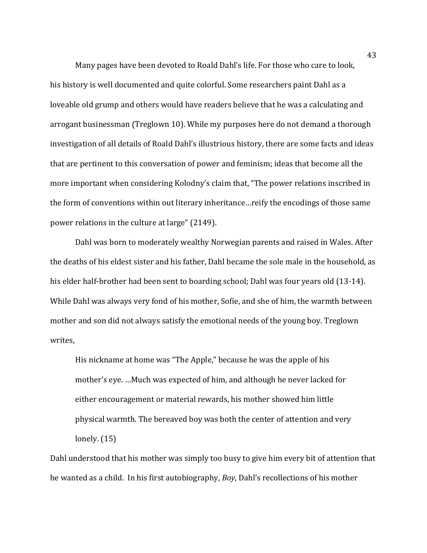Many pages have been devoted to Roald Dahl's life. For those who care to look, his history is well documented and quite colorful. Some researchers paint Dahl as a loveable old grump and others would have readers believe that he was a calculating and arrogant businessman (Treglown 10). While my purposes here do not demand a thorough investigation of all details of Roald Dahl's illustrious history, there are some facts and ideas that are pertinent to this conversation of power and feminism; ideas that become all the more important when considering Kolodny's claim that, "The power relations inscribed in the form of conventions within out literary inheritance…reify the encodings of those same power relations in the culture at large" (2149).

Dahl was born to moderately wealthy Norwegian parents and raised in Wales. After the deaths of his eldest sister and his father, Dahl became the sole male in the household, as his elder half-brother had been sent to boarding school; Dahl was four years old (13-14). While Dahl was always very fond of his mother, Sofie, and she of him, the warmth between mother and son did not always satisfy the emotional needs of the young boy. Treglown writes,

His nickname at home was "The Apple," because he was the apple of his mother's eye. …Much was expected of him, and although he never lacked for either encouragement or material rewards, his mother showed him little physical warmth. The bereaved boy was both the center of attention and very lonely. (15)

Dahl understood that his mother was simply too busy to give him every bit of attention that he wanted as a child. In his first autobiography, *Boy*, Dahl's recollections of his mother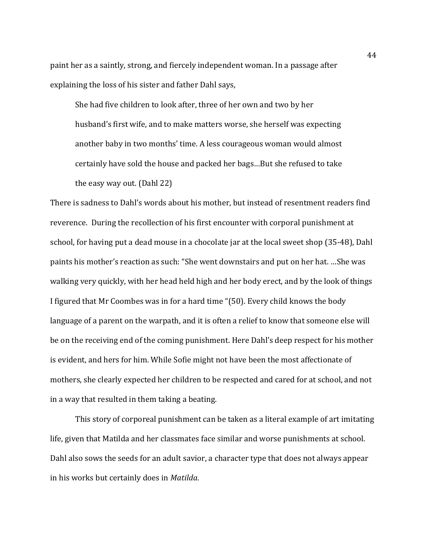paint her as a saintly, strong, and fiercely independent woman. In a passage after explaining the loss of his sister and father Dahl says,

She had five children to look after, three of her own and two by her husband's first wife, and to make matters worse, she herself was expecting another baby in two months' time. A less courageous woman would almost certainly have sold the house and packed her bags…But she refused to take the easy way out. (Dahl 22)

There is sadness to Dahl's words about his mother, but instead of resentment readers find reverence. During the recollection of his first encounter with corporal punishment at school, for having put a dead mouse in a chocolate jar at the local sweet shop (35-48), Dahl paints his mother's reaction as such: "She went downstairs and put on her hat. …She was walking very quickly, with her head held high and her body erect, and by the look of things I figured that Mr Coombes was in for a hard time "(50). Every child knows the body language of a parent on the warpath, and it is often a relief to know that someone else will be on the receiving end of the coming punishment. Here Dahl's deep respect for his mother is evident, and hers for him. While Sofie might not have been the most affectionate of mothers, she clearly expected her children to be respected and cared for at school, and not in a way that resulted in them taking a beating.

This story of corporeal punishment can be taken as a literal example of art imitating life, given that Matilda and her classmates face similar and worse punishments at school. Dahl also sows the seeds for an adult savior, a character type that does not always appear in his works but certainly does in *Matilda*.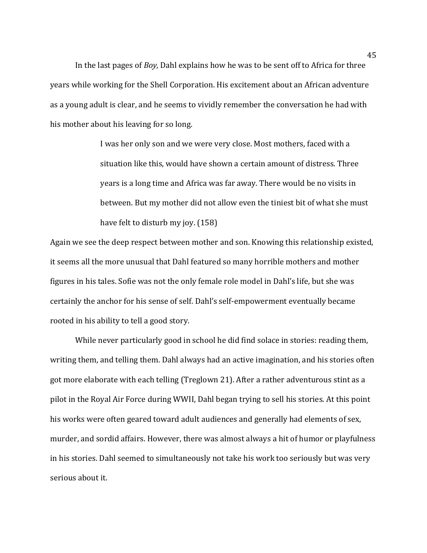In the last pages of *Boy,* Dahl explains how he was to be sent off to Africa for three years while working for the Shell Corporation. His excitement about an African adventure as a young adult is clear, and he seems to vividly remember the conversation he had with his mother about his leaving for so long.

> I was her only son and we were very close. Most mothers, faced with a situation like this, would have shown a certain amount of distress. Three years is a long time and Africa was far away. There would be no visits in between. But my mother did not allow even the tiniest bit of what she must have felt to disturb my joy. (158)

Again we see the deep respect between mother and son. Knowing this relationship existed, it seems all the more unusual that Dahl featured so many horrible mothers and mother figures in his tales. Sofie was not the only female role model in Dahl's life, but she was certainly the anchor for his sense of self. Dahl's self-empowerment eventually became rooted in his ability to tell a good story.

While never particularly good in school he did find solace in stories: reading them, writing them, and telling them. Dahl always had an active imagination, and his stories often got more elaborate with each telling (Treglown 21). After a rather adventurous stint as a pilot in the Royal Air Force during WWII, Dahl began trying to sell his stories. At this point his works were often geared toward adult audiences and generally had elements of sex, murder, and sordid affairs. However, there was almost always a hit of humor or playfulness in his stories. Dahl seemed to simultaneously not take his work too seriously but was very serious about it.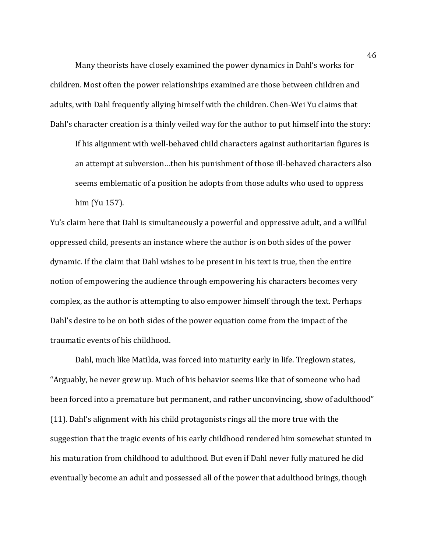Many theorists have closely examined the power dynamics in Dahl's works for children. Most often the power relationships examined are those between children and adults, with Dahl frequently allying himself with the children. Chen-Wei Yu claims that Dahl's character creation is a thinly veiled way for the author to put himself into the story:

If his alignment with well-behaved child characters against authoritarian figures is an attempt at subversion…then his punishment of those ill-behaved characters also seems emblematic of a position he adopts from those adults who used to oppress him (Yu 157).

Yu's claim here that Dahl is simultaneously a powerful and oppressive adult, and a willful oppressed child, presents an instance where the author is on both sides of the power dynamic. If the claim that Dahl wishes to be present in his text is true, then the entire notion of empowering the audience through empowering his characters becomes very complex, as the author is attempting to also empower himself through the text. Perhaps Dahl's desire to be on both sides of the power equation come from the impact of the traumatic events of his childhood.

Dahl, much like Matilda, was forced into maturity early in life. Treglown states, "Arguably, he never grew up. Much of his behavior seems like that of someone who had been forced into a premature but permanent, and rather unconvincing, show of adulthood" (11). Dahl's alignment with his child protagonists rings all the more true with the suggestion that the tragic events of his early childhood rendered him somewhat stunted in his maturation from childhood to adulthood. But even if Dahl never fully matured he did eventually become an adult and possessed all of the power that adulthood brings, though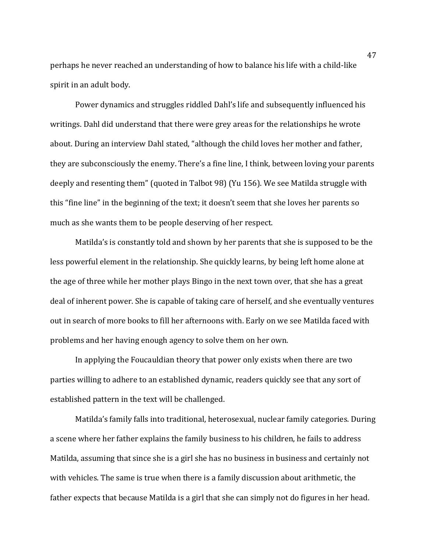perhaps he never reached an understanding of how to balance his life with a child-like spirit in an adult body.

Power dynamics and struggles riddled Dahl's life and subsequently influenced his writings. Dahl did understand that there were grey areas for the relationships he wrote about. During an interview Dahl stated, "although the child loves her mother and father, they are subconsciously the enemy. There's a fine line, I think, between loving your parents deeply and resenting them" (quoted in Talbot 98) (Yu 156). We see Matilda struggle with this "fine line" in the beginning of the text; it doesn't seem that she loves her parents so much as she wants them to be people deserving of her respect.

Matilda's is constantly told and shown by her parents that she is supposed to be the less powerful element in the relationship. She quickly learns, by being left home alone at the age of three while her mother plays Bingo in the next town over, that she has a great deal of inherent power. She is capable of taking care of herself, and she eventually ventures out in search of more books to fill her afternoons with. Early on we see Matilda faced with problems and her having enough agency to solve them on her own.

In applying the Foucauldian theory that power only exists when there are two parties willing to adhere to an established dynamic, readers quickly see that any sort of established pattern in the text will be challenged.

Matilda's family falls into traditional, heterosexual, nuclear family categories. During a scene where her father explains the family business to his children, he fails to address Matilda, assuming that since she is a girl she has no business in business and certainly not with vehicles. The same is true when there is a family discussion about arithmetic, the father expects that because Matilda is a girl that she can simply not do figures in her head.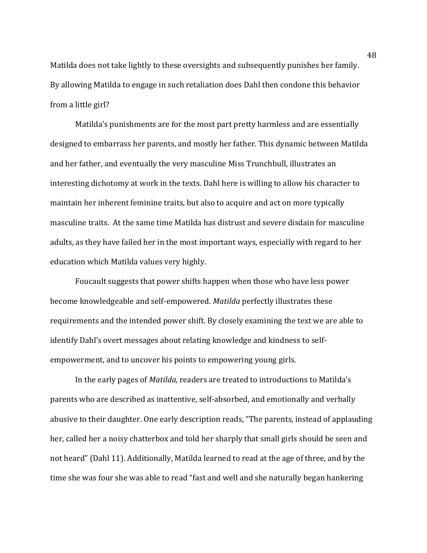Matilda does not take lightly to these oversights and subsequently punishes her family. By allowing Matilda to engage in such retaliation does Dahl then condone this behavior from a little girl?

Matilda's punishments are for the most part pretty harmless and are essentially designed to embarrass her parents, and mostly her father. This dynamic between Matilda and her father, and eventually the very masculine Miss Trunchbull, illustrates an interesting dichotomy at work in the texts. Dahl here is willing to allow his character to maintain her inherent feminine traits, but also to acquire and act on more typically masculine traits. At the same time Matilda has distrust and severe disdain for masculine adults, as they have failed her in the most important ways, especially with regard to her education which Matilda values very highly.

Foucault suggests that power shifts happen when those who have less power become knowledgeable and self-empowered. *Matilda* perfectly illustrates these requirements and the intended power shift. By closely examining the text we are able to identify Dahl's overt messages about relating knowledge and kindness to selfempowerment, and to uncover his points to empowering young girls.

In the early pages of *Matilda,* readers are treated to introductions to Matilda's parents who are described as inattentive, self-absorbed, and emotionally and verbally abusive to their daughter. One early description reads, "The parents, instead of applauding her, called her a noisy chatterbox and told her sharply that small girls should be seen and not heard" (Dahl 11). Additionally, Matilda learned to read at the age of three, and by the time she was four she was able to read "fast and well and she naturally began hankering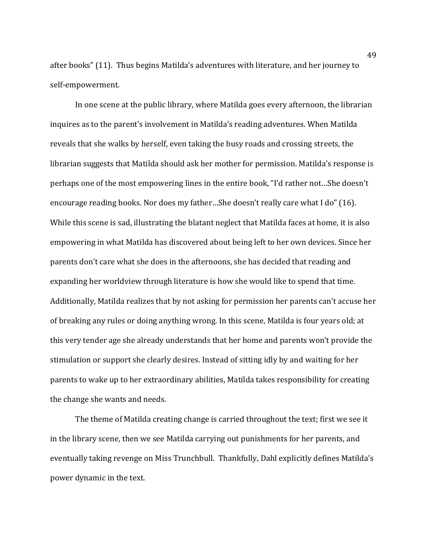after books" (11). Thus begins Matilda's adventures with literature, and her journey to self-empowerment.

In one scene at the public library, where Matilda goes every afternoon, the librarian inquires as to the parent's involvement in Matilda's reading adventures. When Matilda reveals that she walks by herself, even taking the busy roads and crossing streets, the librarian suggests that Matilda should ask her mother for permission. Matilda's response is perhaps one of the most empowering lines in the entire book, "I'd rather not…She doesn't encourage reading books. Nor does my father…She doesn't really care what I do" (16). While this scene is sad, illustrating the blatant neglect that Matilda faces at home, it is also empowering in what Matilda has discovered about being left to her own devices. Since her parents don't care what she does in the afternoons, she has decided that reading and expanding her worldview through literature is how she would like to spend that time. Additionally, Matilda realizes that by not asking for permission her parents can't accuse her of breaking any rules or doing anything wrong. In this scene, Matilda is four years old; at this very tender age she already understands that her home and parents won't provide the stimulation or support she clearly desires. Instead of sitting idly by and waiting for her parents to wake up to her extraordinary abilities, Matilda takes responsibility for creating the change she wants and needs.

The theme of Matilda creating change is carried throughout the text; first we see it in the library scene, then we see Matilda carrying out punishments for her parents, and eventually taking revenge on Miss Trunchbull. Thankfully, Dahl explicitly defines Matilda's power dynamic in the text.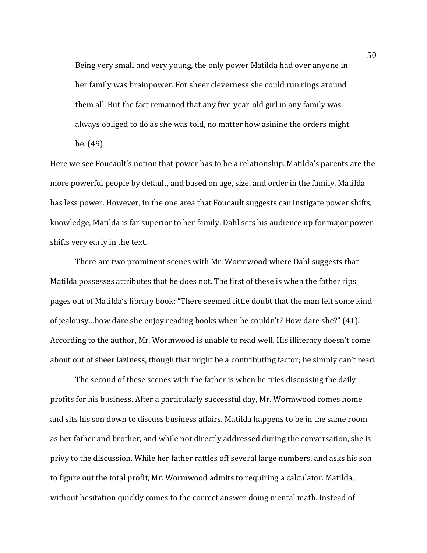Being very small and very young, the only power Matilda had over anyone in her family was brainpower. For sheer cleverness she could run rings around them all. But the fact remained that any five-year-old girl in any family was always obliged to do as she was told, no matter how asinine the orders might be. (49)

Here we see Foucault's notion that power has to be a relationship. Matilda's parents are the more powerful people by default, and based on age, size, and order in the family, Matilda has less power. However, in the one area that Foucault suggests can instigate power shifts, knowledge, Matilda is far superior to her family. Dahl sets his audience up for major power shifts very early in the text.

There are two prominent scenes with Mr. Wormwood where Dahl suggests that Matilda possesses attributes that he does not. The first of these is when the father rips pages out of Matilda's library book: "There seemed little doubt that the man felt some kind of jealousy…how dare she enjoy reading books when he couldn't? How dare she?" (41). According to the author, Mr. Wormwood is unable to read well. His illiteracy doesn't come about out of sheer laziness, though that might be a contributing factor; he simply can't read.

The second of these scenes with the father is when he tries discussing the daily profits for his business. After a particularly successful day, Mr. Wormwood comes home and sits his son down to discuss business affairs. Matilda happens to be in the same room as her father and brother, and while not directly addressed during the conversation, she is privy to the discussion. While her father rattles off several large numbers, and asks his son to figure out the total profit, Mr. Wormwood admits to requiring a calculator. Matilda, without hesitation quickly comes to the correct answer doing mental math. Instead of

50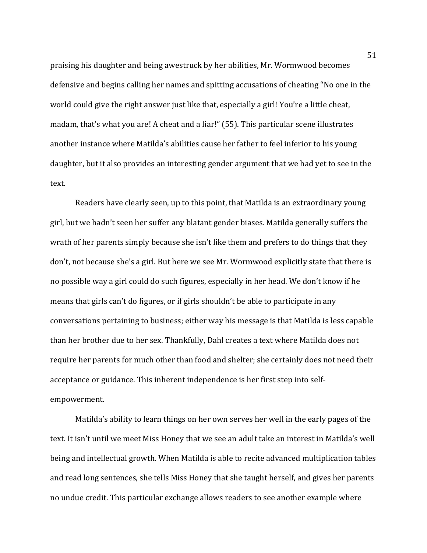praising his daughter and being awestruck by her abilities, Mr. Wormwood becomes defensive and begins calling her names and spitting accusations of cheating "No one in the world could give the right answer just like that, especially a girl! You're a little cheat, madam, that's what you are! A cheat and a liar!" (55). This particular scene illustrates another instance where Matilda's abilities cause her father to feel inferior to his young daughter, but it also provides an interesting gender argument that we had yet to see in the text.

Readers have clearly seen, up to this point, that Matilda is an extraordinary young girl, but we hadn't seen her suffer any blatant gender biases. Matilda generally suffers the wrath of her parents simply because she isn't like them and prefers to do things that they don't, not because she's a girl. But here we see Mr. Wormwood explicitly state that there is no possible way a girl could do such figures, especially in her head. We don't know if he means that girls can't do figures, or if girls shouldn't be able to participate in any conversations pertaining to business; either way his message is that Matilda is less capable than her brother due to her sex. Thankfully, Dahl creates a text where Matilda does not require her parents for much other than food and shelter; she certainly does not need their acceptance or guidance. This inherent independence is her first step into selfempowerment.

Matilda's ability to learn things on her own serves her well in the early pages of the text. It isn't until we meet Miss Honey that we see an adult take an interest in Matilda's well being and intellectual growth. When Matilda is able to recite advanced multiplication tables and read long sentences, she tells Miss Honey that she taught herself, and gives her parents no undue credit. This particular exchange allows readers to see another example where

51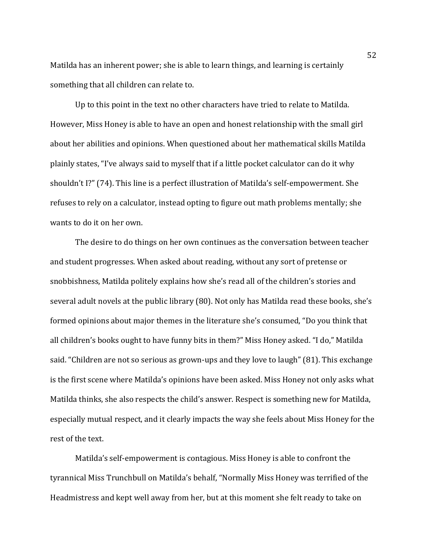Matilda has an inherent power; she is able to learn things, and learning is certainly something that all children can relate to.

Up to this point in the text no other characters have tried to relate to Matilda. However, Miss Honey is able to have an open and honest relationship with the small girl about her abilities and opinions. When questioned about her mathematical skills Matilda plainly states, "I've always said to myself that if a little pocket calculator can do it why shouldn't I?" (74). This line is a perfect illustration of Matilda's self-empowerment. She refuses to rely on a calculator, instead opting to figure out math problems mentally; she wants to do it on her own.

The desire to do things on her own continues as the conversation between teacher and student progresses. When asked about reading, without any sort of pretense or snobbishness, Matilda politely explains how she's read all of the children's stories and several adult novels at the public library (80). Not only has Matilda read these books, she's formed opinions about major themes in the literature she's consumed, "Do you think that all children's books ought to have funny bits in them?" Miss Honey asked. "I do," Matilda said. "Children are not so serious as grown-ups and they love to laugh" (81). This exchange is the first scene where Matilda's opinions have been asked. Miss Honey not only asks what Matilda thinks, she also respects the child's answer. Respect is something new for Matilda, especially mutual respect, and it clearly impacts the way she feels about Miss Honey for the rest of the text.

Matilda's self-empowerment is contagious. Miss Honey is able to confront the tyrannical Miss Trunchbull on Matilda's behalf, "Normally Miss Honey was terrified of the Headmistress and kept well away from her, but at this moment she felt ready to take on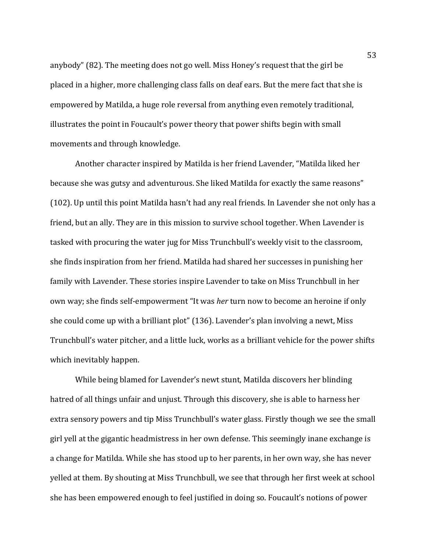anybody" (82). The meeting does not go well. Miss Honey's request that the girl be placed in a higher, more challenging class falls on deaf ears. But the mere fact that she is empowered by Matilda, a huge role reversal from anything even remotely traditional, illustrates the point in Foucault's power theory that power shifts begin with small movements and through knowledge.

Another character inspired by Matilda is her friend Lavender, "Matilda liked her because she was gutsy and adventurous. She liked Matilda for exactly the same reasons" (102). Up until this point Matilda hasn't had any real friends. In Lavender she not only has a friend, but an ally. They are in this mission to survive school together. When Lavender is tasked with procuring the water jug for Miss Trunchbull's weekly visit to the classroom, she finds inspiration from her friend. Matilda had shared her successes in punishing her family with Lavender. These stories inspire Lavender to take on Miss Trunchbull in her own way; she finds self-empowerment "It was *her* turn now to become an heroine if only she could come up with a brilliant plot" (136). Lavender's plan involving a newt, Miss Trunchbull's water pitcher, and a little luck, works as a brilliant vehicle for the power shifts which inevitably happen.

While being blamed for Lavender's newt stunt, Matilda discovers her blinding hatred of all things unfair and unjust. Through this discovery, she is able to harness her extra sensory powers and tip Miss Trunchbull's water glass. Firstly though we see the small girl yell at the gigantic headmistress in her own defense. This seemingly inane exchange is a change for Matilda. While she has stood up to her parents, in her own way, she has never yelled at them. By shouting at Miss Trunchbull, we see that through her first week at school she has been empowered enough to feel justified in doing so. Foucault's notions of power

53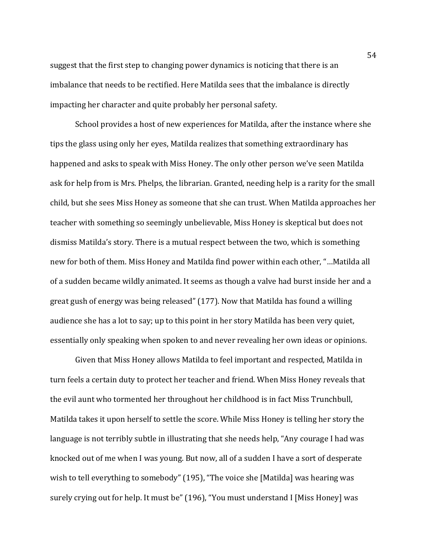suggest that the first step to changing power dynamics is noticing that there is an imbalance that needs to be rectified. Here Matilda sees that the imbalance is directly impacting her character and quite probably her personal safety.

School provides a host of new experiences for Matilda, after the instance where she tips the glass using only her eyes, Matilda realizes that something extraordinary has happened and asks to speak with Miss Honey. The only other person we've seen Matilda ask for help from is Mrs. Phelps, the librarian. Granted, needing help is a rarity for the small child, but she sees Miss Honey as someone that she can trust. When Matilda approaches her teacher with something so seemingly unbelievable, Miss Honey is skeptical but does not dismiss Matilda's story. There is a mutual respect between the two, which is something new for both of them. Miss Honey and Matilda find power within each other, "…Matilda all of a sudden became wildly animated. It seems as though a valve had burst inside her and a great gush of energy was being released" (177). Now that Matilda has found a willing audience she has a lot to say; up to this point in her story Matilda has been very quiet, essentially only speaking when spoken to and never revealing her own ideas or opinions.

Given that Miss Honey allows Matilda to feel important and respected, Matilda in turn feels a certain duty to protect her teacher and friend. When Miss Honey reveals that the evil aunt who tormented her throughout her childhood is in fact Miss Trunchbull, Matilda takes it upon herself to settle the score. While Miss Honey is telling her story the language is not terribly subtle in illustrating that she needs help, "Any courage I had was knocked out of me when I was young. But now, all of a sudden I have a sort of desperate wish to tell everything to somebody" (195), "The voice she [Matilda] was hearing was surely crying out for help. It must be" (196), "You must understand I [Miss Honey] was

54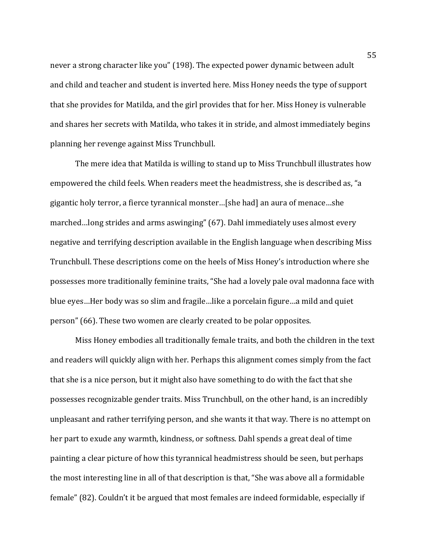never a strong character like you" (198). The expected power dynamic between adult and child and teacher and student is inverted here. Miss Honey needs the type of support that she provides for Matilda, and the girl provides that for her. Miss Honey is vulnerable and shares her secrets with Matilda, who takes it in stride, and almost immediately begins planning her revenge against Miss Trunchbull.

The mere idea that Matilda is willing to stand up to Miss Trunchbull illustrates how empowered the child feels. When readers meet the headmistress, she is described as, "a gigantic holy terror, a fierce tyrannical monster…[she had] an aura of menace…she marched…long strides and arms aswinging" (67). Dahl immediately uses almost every negative and terrifying description available in the English language when describing Miss Trunchbull. These descriptions come on the heels of Miss Honey's introduction where she possesses more traditionally feminine traits, "She had a lovely pale oval madonna face with blue eyes…Her body was so slim and fragile…like a porcelain figure…a mild and quiet person" (66). These two women are clearly created to be polar opposites.

Miss Honey embodies all traditionally female traits, and both the children in the text and readers will quickly align with her. Perhaps this alignment comes simply from the fact that she is a nice person, but it might also have something to do with the fact that she possesses recognizable gender traits. Miss Trunchbull, on the other hand, is an incredibly unpleasant and rather terrifying person, and she wants it that way. There is no attempt on her part to exude any warmth, kindness, or softness. Dahl spends a great deal of time painting a clear picture of how this tyrannical headmistress should be seen, but perhaps the most interesting line in all of that description is that, "She was above all a formidable female" (82). Couldn't it be argued that most females are indeed formidable, especially if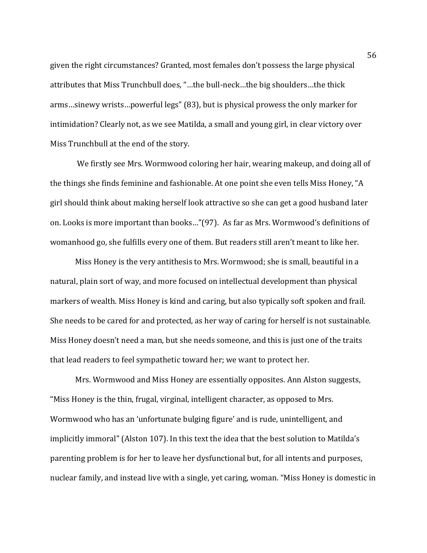given the right circumstances? Granted, most females don't possess the large physical attributes that Miss Trunchbull does, "…the bull-neck…the big shoulders…the thick arms…sinewy wrists…powerful legs" (83), but is physical prowess the only marker for intimidation? Clearly not, as we see Matilda, a small and young girl, in clear victory over Miss Trunchbull at the end of the story.

We firstly see Mrs. Wormwood coloring her hair, wearing makeup, and doing all of the things she finds feminine and fashionable. At one point she even tells Miss Honey, "A girl should think about making herself look attractive so she can get a good husband later on. Looks is more important than books…"(97). As far as Mrs. Wormwood's definitions of womanhood go, she fulfills every one of them. But readers still aren't meant to like her.

Miss Honey is the very antithesis to Mrs. Wormwood; she is small, beautiful in a natural, plain sort of way, and more focused on intellectual development than physical markers of wealth. Miss Honey is kind and caring, but also typically soft spoken and frail. She needs to be cared for and protected, as her way of caring for herself is not sustainable. Miss Honey doesn't need a man, but she needs someone, and this is just one of the traits that lead readers to feel sympathetic toward her; we want to protect her.

Mrs. Wormwood and Miss Honey are essentially opposites. Ann Alston suggests, "Miss Honey is the thin, frugal, virginal, intelligent character, as opposed to Mrs. Wormwood who has an 'unfortunate bulging figure' and is rude, unintelligent, and implicitly immoral" (Alston 107). In this text the idea that the best solution to Matilda's parenting problem is for her to leave her dysfunctional but, for all intents and purposes, nuclear family, and instead live with a single, yet caring, woman. "Miss Honey is domestic in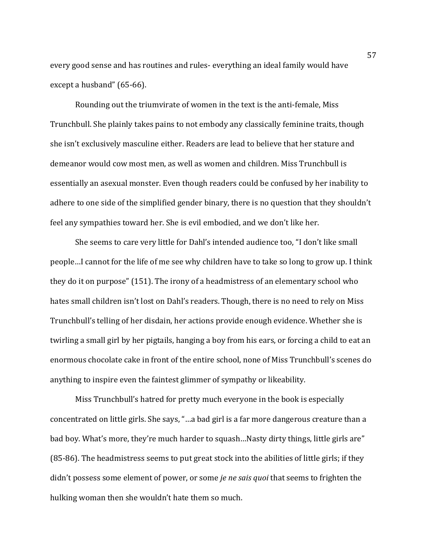every good sense and has routines and rules- everything an ideal family would have except a husband" (65-66).

Rounding out the triumvirate of women in the text is the anti-female, Miss Trunchbull. She plainly takes pains to not embody any classically feminine traits, though she isn't exclusively masculine either. Readers are lead to believe that her stature and demeanor would cow most men, as well as women and children. Miss Trunchbull is essentially an asexual monster. Even though readers could be confused by her inability to adhere to one side of the simplified gender binary, there is no question that they shouldn't feel any sympathies toward her. She is evil embodied, and we don't like her.

She seems to care very little for Dahl's intended audience too, "I don't like small people…I cannot for the life of me see why children have to take so long to grow up. I think they do it on purpose" (151). The irony of a headmistress of an elementary school who hates small children isn't lost on Dahl's readers. Though, there is no need to rely on Miss Trunchbull's telling of her disdain, her actions provide enough evidence. Whether she is twirling a small girl by her pigtails, hanging a boy from his ears, or forcing a child to eat an enormous chocolate cake in front of the entire school, none of Miss Trunchbull's scenes do anything to inspire even the faintest glimmer of sympathy or likeability.

Miss Trunchbull's hatred for pretty much everyone in the book is especially concentrated on little girls. She says, "…a bad girl is a far more dangerous creature than a bad boy. What's more, they're much harder to squash…Nasty dirty things, little girls are" (85-86). The headmistress seems to put great stock into the abilities of little girls; if they didn't possess some element of power, or some *je ne sais quoi* that seems to frighten the hulking woman then she wouldn't hate them so much.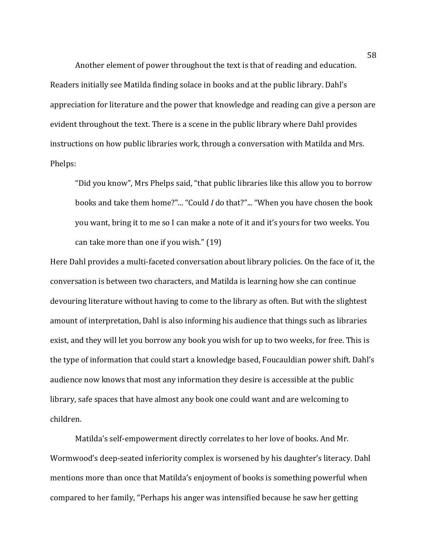Another element of power throughout the text is that of reading and education. Readers initially see Matilda finding solace in books and at the public library. Dahl's appreciation for literature and the power that knowledge and reading can give a person are evident throughout the text. There is a scene in the public library where Dahl provides instructions on how public libraries work, through a conversation with Matilda and Mrs. Phelps:

"Did you know", Mrs Phelps said, "that public libraries like this allow you to borrow books and take them home?"... "Could *I* do that?"... "When you have chosen the book you want, bring it to me so I can make a note of it and it's yours for two weeks. You can take more than one if you wish." (19)

Here Dahl provides a multi-faceted conversation about library policies. On the face of it, the conversation is between two characters, and Matilda is learning how she can continue devouring literature without having to come to the library as often. But with the slightest amount of interpretation, Dahl is also informing his audience that things such as libraries exist, and they will let you borrow any book you wish for up to two weeks, for free. This is the type of information that could start a knowledge based, Foucauldian power shift. Dahl's audience now knows that most any information they desire is accessible at the public library, safe spaces that have almost any book one could want and are welcoming to children.

Matilda's self-empowerment directly correlates to her love of books. And Mr. Wormwood's deep-seated inferiority complex is worsened by his daughter's literacy. Dahl mentions more than once that Matilda's enjoyment of books is something powerful when compared to her family, "Perhaps his anger was intensified because he saw her getting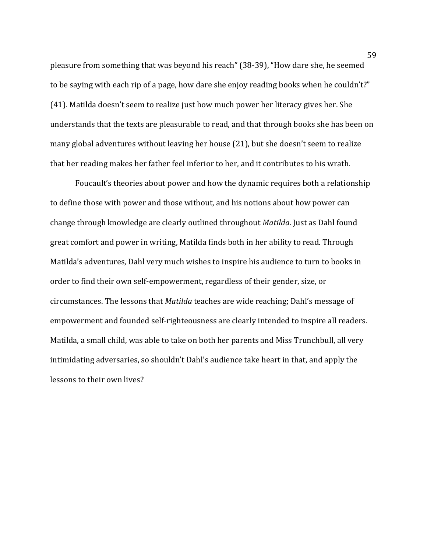pleasure from something that was beyond his reach" (38-39), "How dare she, he seemed to be saying with each rip of a page, how dare she enjoy reading books when he couldn't?" (41). Matilda doesn't seem to realize just how much power her literacy gives her. She understands that the texts are pleasurable to read, and that through books she has been on many global adventures without leaving her house (21), but she doesn't seem to realize that her reading makes her father feel inferior to her, and it contributes to his wrath.

Foucault's theories about power and how the dynamic requires both a relationship to define those with power and those without, and his notions about how power can change through knowledge are clearly outlined throughout *Matilda*. Just as Dahl found great comfort and power in writing, Matilda finds both in her ability to read. Through Matilda's adventures, Dahl very much wishes to inspire his audience to turn to books in order to find their own self-empowerment, regardless of their gender, size, or circumstances. The lessons that *Matilda* teaches are wide reaching; Dahl's message of empowerment and founded self-righteousness are clearly intended to inspire all readers. Matilda, a small child, was able to take on both her parents and Miss Trunchbull, all very intimidating adversaries, so shouldn't Dahl's audience take heart in that, and apply the lessons to their own lives?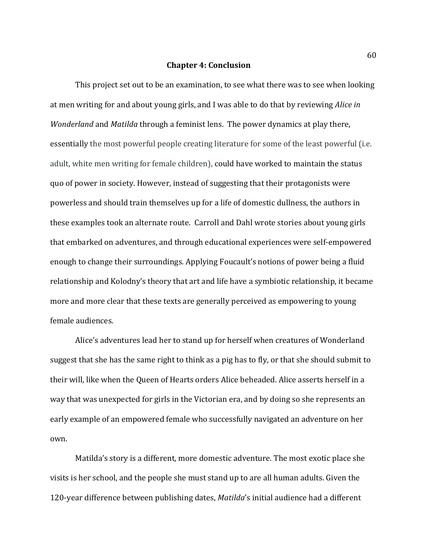#### **Chapter 4: Conclusion**

This project set out to be an examination, to see what there was to see when looking at men writing for and about young girls, and I was able to do that by reviewing *Alice in Wonderland* and *Matilda* through a feminist lens. The power dynamics at play there, essentially the most powerful people creating literature for some of the least powerful (i.e. adult, white men writing for female children), could have worked to maintain the status quo of power in society. However, instead of suggesting that their protagonists were powerless and should train themselves up for a life of domestic dullness, the authors in these examples took an alternate route. Carroll and Dahl wrote stories about young girls that embarked on adventures, and through educational experiences were self-empowered enough to change their surroundings. Applying Foucault's notions of power being a fluid relationship and Kolodny's theory that art and life have a symbiotic relationship, it became more and more clear that these texts are generally perceived as empowering to young female audiences.

Alice's adventures lead her to stand up for herself when creatures of Wonderland suggest that she has the same right to think as a pig has to fly, or that she should submit to their will, like when the Queen of Hearts orders Alice beheaded. Alice asserts herself in a way that was unexpected for girls in the Victorian era, and by doing so she represents an early example of an empowered female who successfully navigated an adventure on her own.

Matilda's story is a different, more domestic adventure. The most exotic place she visits is her school, and the people she must stand up to are all human adults. Given the 120-year difference between publishing dates, *Matilda*'s initial audience had a different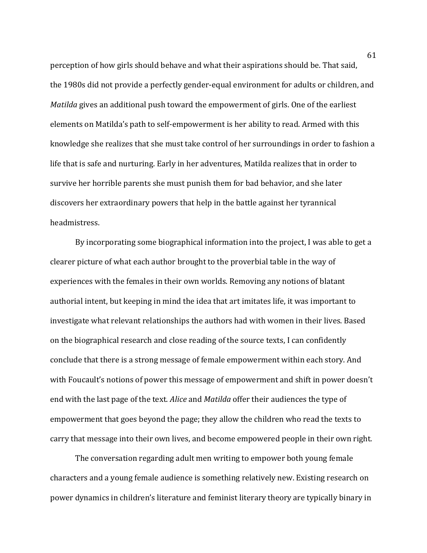perception of how girls should behave and what their aspirations should be. That said, the 1980s did not provide a perfectly gender-equal environment for adults or children, and *Matilda* gives an additional push toward the empowerment of girls. One of the earliest elements on Matilda's path to self-empowerment is her ability to read. Armed with this knowledge she realizes that she must take control of her surroundings in order to fashion a life that is safe and nurturing. Early in her adventures, Matilda realizes that in order to survive her horrible parents she must punish them for bad behavior, and she later discovers her extraordinary powers that help in the battle against her tyrannical headmistress.

By incorporating some biographical information into the project, I was able to get a clearer picture of what each author brought to the proverbial table in the way of experiences with the females in their own worlds. Removing any notions of blatant authorial intent, but keeping in mind the idea that art imitates life, it was important to investigate what relevant relationships the authors had with women in their lives. Based on the biographical research and close reading of the source texts, I can confidently conclude that there is a strong message of female empowerment within each story. And with Foucault's notions of power this message of empowerment and shift in power doesn't end with the last page of the text. *Alice* and *Matilda* offer their audiences the type of empowerment that goes beyond the page; they allow the children who read the texts to carry that message into their own lives, and become empowered people in their own right.

The conversation regarding adult men writing to empower both young female characters and a young female audience is something relatively new. Existing research on power dynamics in children's literature and feminist literary theory are typically binary in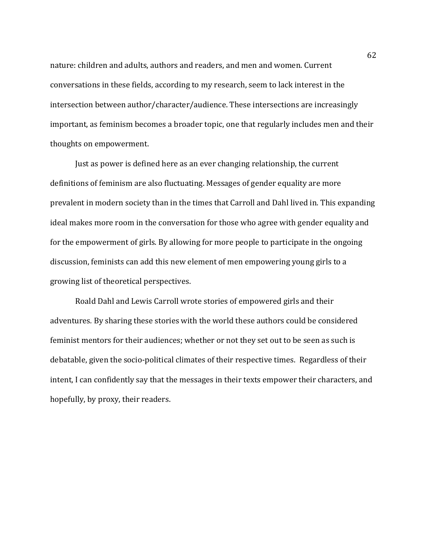nature: children and adults, authors and readers, and men and women. Current conversations in these fields, according to my research, seem to lack interest in the intersection between author/character/audience. These intersections are increasingly important, as feminism becomes a broader topic, one that regularly includes men and their thoughts on empowerment.

Just as power is defined here as an ever changing relationship, the current definitions of feminism are also fluctuating. Messages of gender equality are more prevalent in modern society than in the times that Carroll and Dahl lived in. This expanding ideal makes more room in the conversation for those who agree with gender equality and for the empowerment of girls. By allowing for more people to participate in the ongoing discussion, feminists can add this new element of men empowering young girls to a growing list of theoretical perspectives.

Roald Dahl and Lewis Carroll wrote stories of empowered girls and their adventures*.* By sharing these stories with the world these authors could be considered feminist mentors for their audiences; whether or not they set out to be seen as such is debatable, given the socio-political climates of their respective times. Regardless of their intent, I can confidently say that the messages in their texts empower their characters, and hopefully, by proxy, their readers.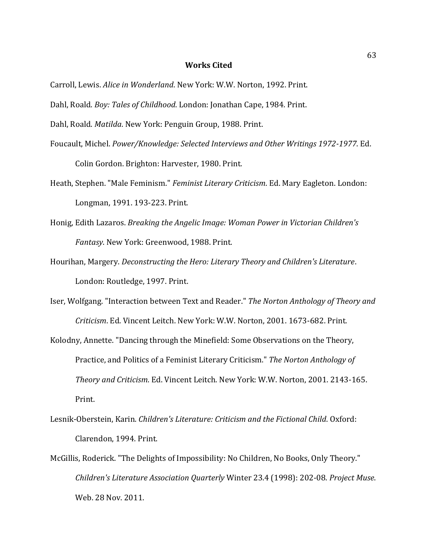### **Works Cited**

Carroll, Lewis. *Alice in Wonderland*. New York: W.W. Norton, 1992. Print.

Dahl, Roald. *Boy: Tales of Childhood*. London: Jonathan Cape, 1984. Print.

Dahl, Roald. *Matilda*. New York: Penguin Group, 1988. Print.

- Foucault, Michel. *Power/Knowledge: Selected Interviews and Other Writings 1972-1977*. Ed. Colin Gordon. Brighton: Harvester, 1980. Print.
- Heath, Stephen. "Male Feminism." *Feminist Literary Criticism*. Ed. Mary Eagleton. London: Longman, 1991. 193-223. Print.
- Honig, Edith Lazaros. *Breaking the Angelic Image: Woman Power in Victorian Children's Fantasy*. New York: Greenwood, 1988. Print.
- Hourihan, Margery. *Deconstructing the Hero: Literary Theory and Children's Literature*. London: Routledge, 1997. Print.
- Iser, Wolfgang. "Interaction between Text and Reader." *The Norton Anthology of Theory and Criticism*. Ed. Vincent Leitch. New York: W.W. Norton, 2001. 1673-682. Print.
- Kolodny, Annette. "Dancing through the Minefield: Some Observations on the Theory, Practice, and Politics of a Feminist Literary Criticism." *The Norton Anthology of Theory and Criticism*. Ed. Vincent Leitch. New York: W.W. Norton, 2001. 2143-165. Print.
- Lesnik-Oberstein, Karin. *Children's Literature: Criticism and the Fictional Child*. Oxford: Clarendon, 1994. Print.
- McGillis, Roderick. "The Delights of Impossibility: No Children, No Books, Only Theory." *Children's Literature Association Quarterly* Winter 23.4 (1998): 202-08. *Project Muse*. Web. 28 Nov. 2011.